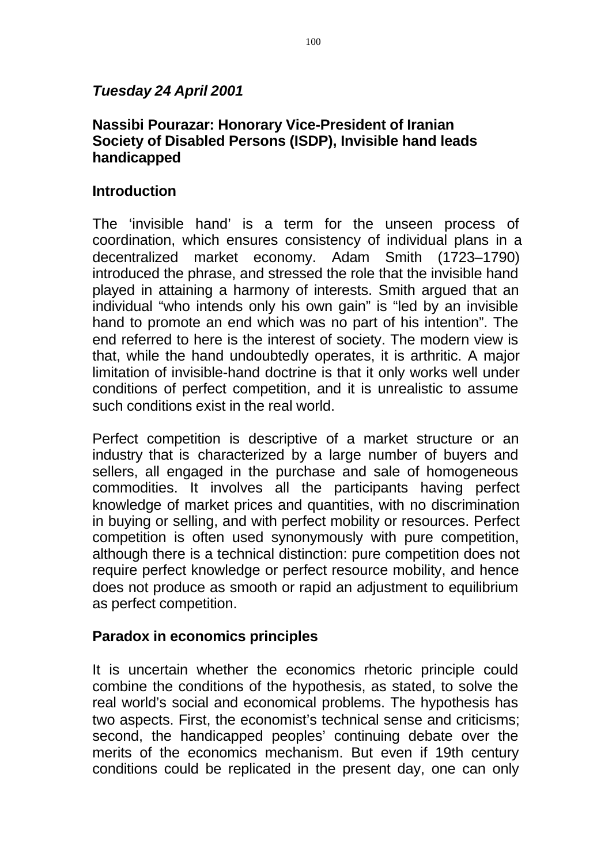# *Tuesday 24 April 2001*

# **Nassibi Pourazar: Honorary Vice-President of Iranian Society of Disabled Persons (ISDP), Invisible hand leads handicapped**

# **Introduction**

The 'invisible hand' is a term for the unseen process of coordination, which ensures consistency of individual plans in a decentralized market economy. Adam Smith (1723–1790) introduced the phrase, and stressed the role that the invisible hand played in attaining a harmony of interests. Smith argued that an individual "who intends only his own gain" is "led by an invisible hand to promote an end which was no part of his intention". The end referred to here is the interest of society. The modern view is that, while the hand undoubtedly operates, it is arthritic. A major limitation of invisible-hand doctrine is that it only works well under conditions of perfect competition, and it is unrealistic to assume such conditions exist in the real world.

Perfect competition is descriptive of a market structure or an industry that is characterized by a large number of buyers and sellers, all engaged in the purchase and sale of homogeneous commodities. It involves all the participants having perfect knowledge of market prices and quantities, with no discrimination in buying or selling, and with perfect mobility or resources. Perfect competition is often used synonymously with pure competition, although there is a technical distinction: pure competition does not require perfect knowledge or perfect resource mobility, and hence does not produce as smooth or rapid an adjustment to equilibrium as perfect competition.

# **Paradox in economics principles**

It is uncertain whether the economics rhetoric principle could combine the conditions of the hypothesis, as stated, to solve the real world's social and economical problems. The hypothesis has two aspects. First, the economist's technical sense and criticisms; second, the handicapped peoples' continuing debate over the merits of the economics mechanism. But even if 19th century conditions could be replicated in the present day, one can only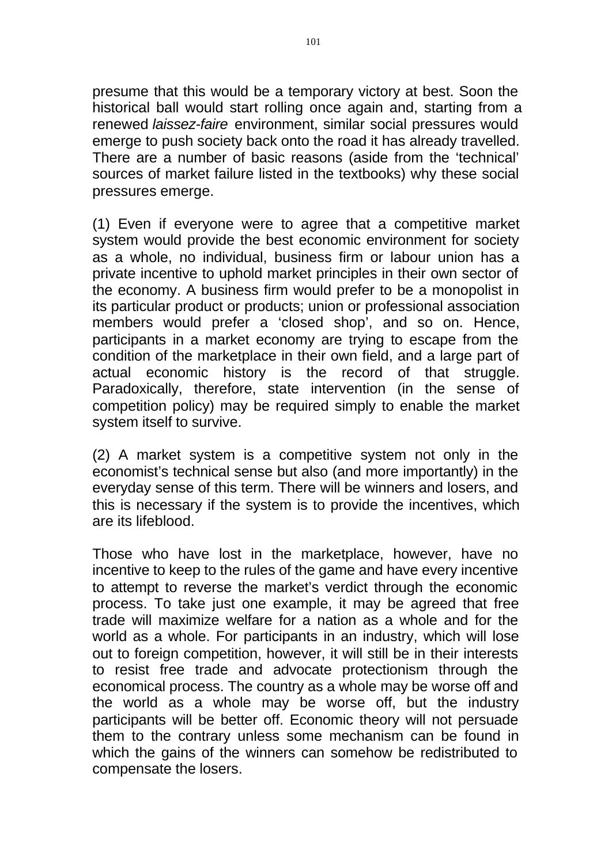presume that this would be a temporary victory at best. Soon the historical ball would start rolling once again and, starting from a renewed *laissez-faire* environment, similar social pressures would emerge to push society back onto the road it has already travelled. There are a number of basic reasons (aside from the 'technical' sources of market failure listed in the textbooks) why these social pressures emerge.

(1) Even if everyone were to agree that a competitive market system would provide the best economic environment for society as a whole, no individual, business firm or labour union has a private incentive to uphold market principles in their own sector of the economy. A business firm would prefer to be a monopolist in its particular product or products; union or professional association members would prefer a 'closed shop', and so on. Hence, participants in a market economy are trying to escape from the condition of the marketplace in their own field, and a large part of actual economic history is the record of that struggle. Paradoxically, therefore, state intervention (in the sense of competition policy) may be required simply to enable the market system itself to survive.

(2) A market system is a competitive system not only in the economist's technical sense but also (and more importantly) in the everyday sense of this term. There will be winners and losers, and this is necessary if the system is to provide the incentives, which are its lifeblood.

Those who have lost in the marketplace, however, have no incentive to keep to the rules of the game and have every incentive to attempt to reverse the market's verdict through the economic process. To take just one example, it may be agreed that free trade will maximize welfare for a nation as a whole and for the world as a whole. For participants in an industry, which will lose out to foreign competition, however, it will still be in their interests to resist free trade and advocate protectionism through the economical process. The country as a whole may be worse off and the world as a whole may be worse off, but the industry participants will be better off. Economic theory will not persuade them to the contrary unless some mechanism can be found in which the gains of the winners can somehow be redistributed to compensate the losers.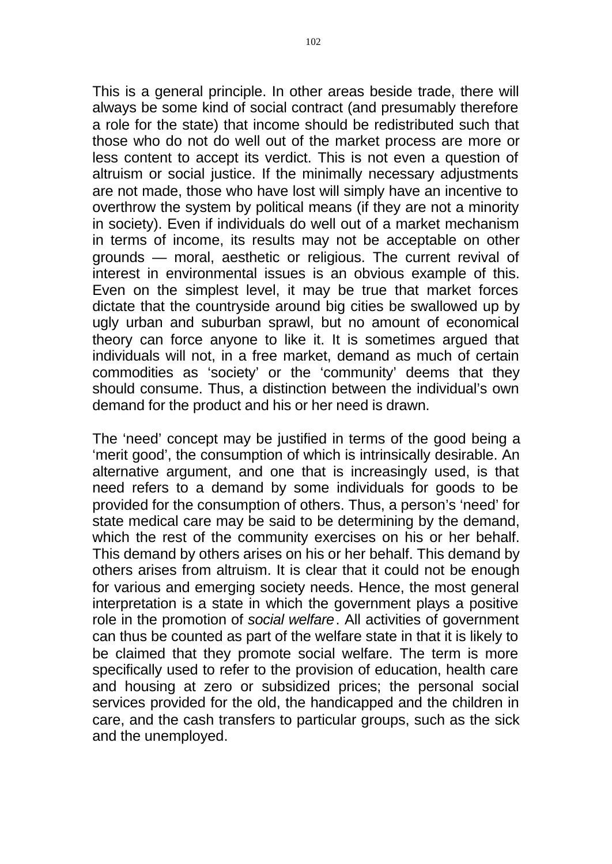This is a general principle. In other areas beside trade, there will always be some kind of social contract (and presumably therefore a role for the state) that income should be redistributed such that those who do not do well out of the market process are more or less content to accept its verdict. This is not even a question of altruism or social justice. If the minimally necessary adjustments are not made, those who have lost will simply have an incentive to overthrow the system by political means (if they are not a minority in society). Even if individuals do well out of a market mechanism in terms of income, its results may not be acceptable on other grounds — moral, aesthetic or religious. The current revival of interest in environmental issues is an obvious example of this. Even on the simplest level, it may be true that market forces dictate that the countryside around big cities be swallowed up by ugly urban and suburban sprawl, but no amount of economical theory can force anyone to like it. It is sometimes argued that individuals will not, in a free market, demand as much of certain commodities as 'society' or the 'community' deems that they should consume. Thus, a distinction between the individual's own demand for the product and his or her need is drawn.

The 'need' concept may be justified in terms of the good being a 'merit good', the consumption of which is intrinsically desirable. An alternative argument, and one that is increasingly used, is that need refers to a demand by some individuals for goods to be provided for the consumption of others. Thus, a person's 'need' for state medical care may be said to be determining by the demand, which the rest of the community exercises on his or her behalf. This demand by others arises on his or her behalf. This demand by others arises from altruism. It is clear that it could not be enough for various and emerging society needs. Hence, the most general interpretation is a state in which the government plays a positive role in the promotion of *social welfare* . All activities of government can thus be counted as part of the welfare state in that it is likely to be claimed that they promote social welfare. The term is more specifically used to refer to the provision of education, health care and housing at zero or subsidized prices; the personal social services provided for the old, the handicapped and the children in care, and the cash transfers to particular groups, such as the sick and the unemployed.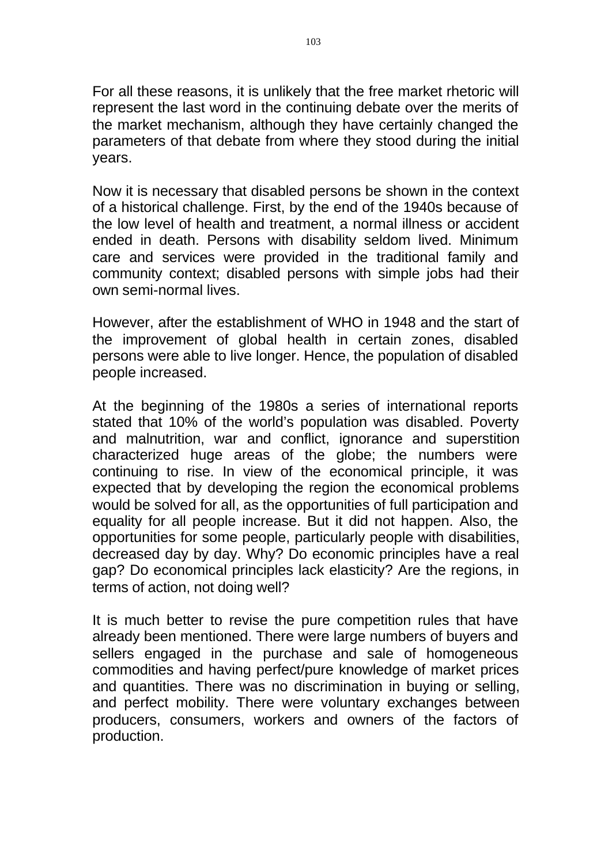For all these reasons, it is unlikely that the free market rhetoric will represent the last word in the continuing debate over the merits of the market mechanism, although they have certainly changed the parameters of that debate from where they stood during the initial years.

Now it is necessary that disabled persons be shown in the context of a historical challenge. First, by the end of the 1940s because of the low level of health and treatment, a normal illness or accident ended in death. Persons with disability seldom lived. Minimum care and services were provided in the traditional family and community context; disabled persons with simple jobs had their own semi-normal lives.

However, after the establishment of WHO in 1948 and the start of the improvement of global health in certain zones, disabled persons were able to live longer. Hence, the population of disabled people increased.

At the beginning of the 1980s a series of international reports stated that 10% of the world's population was disabled. Poverty and malnutrition, war and conflict, ignorance and superstition characterized huge areas of the globe; the numbers were continuing to rise. In view of the economical principle, it was expected that by developing the region the economical problems would be solved for all, as the opportunities of full participation and equality for all people increase. But it did not happen. Also, the opportunities for some people, particularly people with disabilities, decreased day by day. Why? Do economic principles have a real gap? Do economical principles lack elasticity? Are the regions, in terms of action, not doing well?

It is much better to revise the pure competition rules that have already been mentioned. There were large numbers of buyers and sellers engaged in the purchase and sale of homogeneous commodities and having perfect/pure knowledge of market prices and quantities. There was no discrimination in buying or selling, and perfect mobility. There were voluntary exchanges between producers, consumers, workers and owners of the factors of production.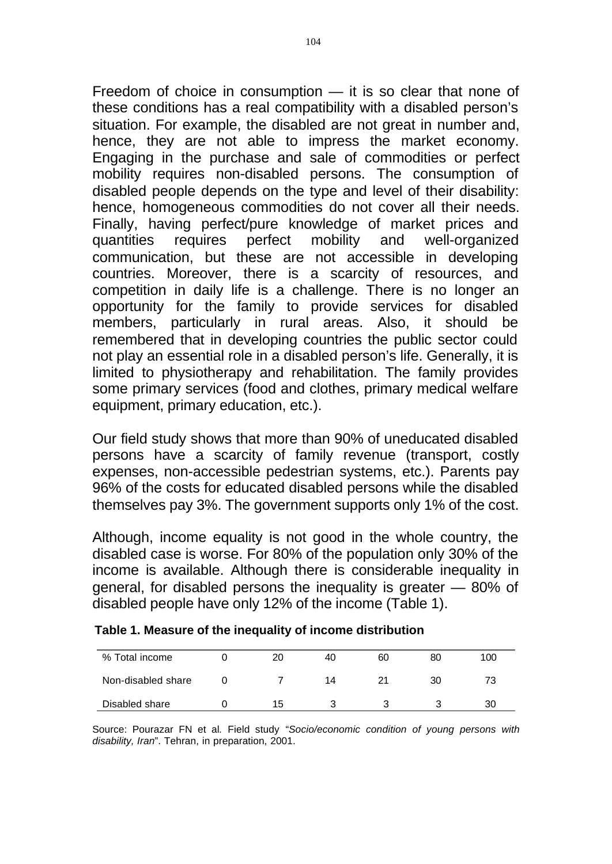Freedom of choice in consumption — it is so clear that none of these conditions has a real compatibility with a disabled person's situation. For example, the disabled are not great in number and, hence, they are not able to impress the market economy. Engaging in the purchase and sale of commodities or perfect mobility requires non-disabled persons. The consumption of disabled people depends on the type and level of their disability: hence, homogeneous commodities do not cover all their needs. Finally, having perfect/pure knowledge of market prices and quantities requires perfect mobility and well-organized communication, but these are not accessible in developing countries. Moreover, there is a scarcity of resources, and competition in daily life is a challenge. There is no longer an opportunity for the family to provide services for disabled members, particularly in rural areas. Also, it should be remembered that in developing countries the public sector could not play an essential role in a disabled person's life. Generally, it is limited to physiotherapy and rehabilitation. The family provides some primary services (food and clothes, primary medical welfare equipment, primary education, etc.).

Our field study shows that more than 90% of uneducated disabled persons have a scarcity of family revenue (transport, costly expenses, non-accessible pedestrian systems, etc.). Parents pay 96% of the costs for educated disabled persons while the disabled themselves pay 3%. The government supports only 1% of the cost.

Although, income equality is not good in the whole country, the disabled case is worse. For 80% of the population only 30% of the income is available. Although there is considerable inequality in general, for disabled persons the inequality is greater — 80% of disabled people have only 12% of the income (Table 1).

| % Total income     | 20 | 40 | 60 | 80 | 100 |
|--------------------|----|----|----|----|-----|
| Non-disabled share |    | 14 |    | 30 | 73  |
| Disabled share     | 15 |    |    |    | 30  |

Source: Pourazar FN et al*.* Field study "*Socio/economic condition of young persons with disability, Iran*". Tehran, in preparation, 2001.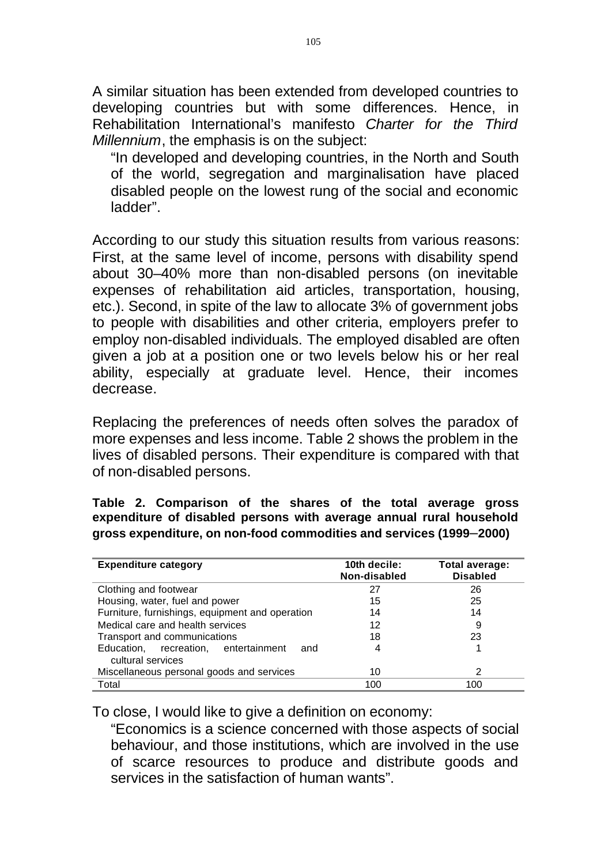A similar situation has been extended from developed countries to developing countries but with some differences. Hence, in Rehabilitation International's manifesto *Charter for the Third Millennium*, the emphasis is on the subject:

"In developed and developing countries, in the North and South of the world, segregation and marginalisation have placed disabled people on the lowest rung of the social and economic ladder".

According to our study this situation results from various reasons: First, at the same level of income, persons with disability spend about 30–40% more than non-disabled persons (on inevitable expenses of rehabilitation aid articles, transportation, housing, etc.). Second, in spite of the law to allocate 3% of government jobs to people with disabilities and other criteria, employers prefer to employ non-disabled individuals. The employed disabled are often given a job at a position one or two levels below his or her real ability, especially at graduate level. Hence, their incomes decrease.

Replacing the preferences of needs often solves the paradox of more expenses and less income. Table 2 shows the problem in the lives of disabled persons. Their expenditure is compared with that of non-disabled persons.

**Table 2. Comparison of the shares of the total average gross expenditure of disabled persons with average annual rural household gross expenditure, on non-food commodities and services (1999**–**2000)** 

| <b>Expenditure category</b>                                      | 10th decile:<br>Non-disabled | Total average:<br><b>Disabled</b> |
|------------------------------------------------------------------|------------------------------|-----------------------------------|
| Clothing and footwear                                            | 27                           | 26                                |
| Housing, water, fuel and power                                   | 15                           | 25                                |
| Furniture, furnishings, equipment and operation                  | 14                           | 14                                |
| Medical care and health services                                 | 12                           | 9                                 |
| Transport and communications                                     | 18                           | 23                                |
| Education, recreation, entertainment<br>and<br>cultural services | 4                            |                                   |
| Miscellaneous personal goods and services                        | 10                           | 2                                 |
| Total                                                            | 100                          | 100                               |

To close, I would like to give a definition on economy:

"Economics is a science concerned with those aspects of social behaviour, and those institutions, which are involved in the use of scarce resources to produce and distribute goods and services in the satisfaction of human wants".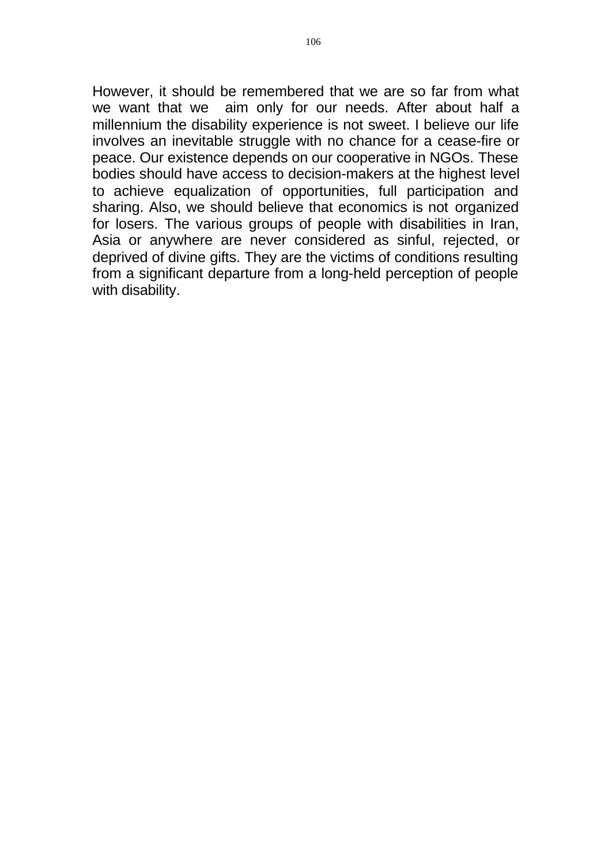However, it should be remembered that we are so far from what we want that we aim only for our needs. After about half a millennium the disability experience is not sweet. I believe our life involves an inevitable struggle with no chance for a cease-fire or peace. Our existence depends on our cooperative in NGOs. These bodies should have access to decision-makers at the highest level to achieve equalization of opportunities, full participation and sharing. Also, we should believe that economics is not organized for losers. The various groups of people with disabilities in Iran, Asia or anywhere are never considered as sinful, rejected, or deprived of divine gifts. They are the victims of conditions resulting from a significant departure from a long-held perception of people with disability.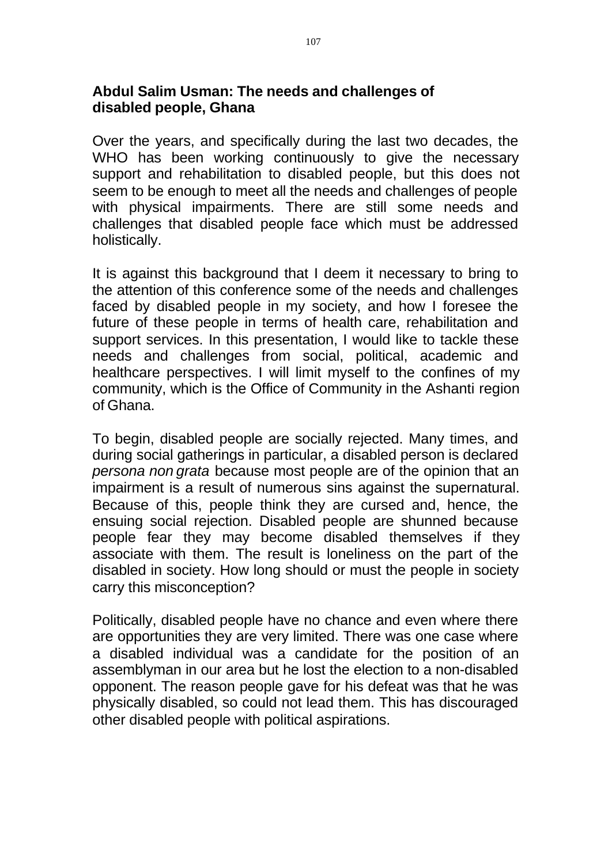# **Abdul Salim Usman: The needs and challenges of disabled people, Ghana**

Over the years, and specifically during the last two decades, the WHO has been working continuously to give the necessary support and rehabilitation to disabled people, but this does not seem to be enough to meet all the needs and challenges of people with physical impairments. There are still some needs and challenges that disabled people face which must be addressed holistically.

It is against this background that I deem it necessary to bring to the attention of this conference some of the needs and challenges faced by disabled people in my society, and how I foresee the future of these people in terms of health care, rehabilitation and support services. In this presentation, I would like to tackle these needs and challenges from social, political, academic and healthcare perspectives. I will limit myself to the confines of my community, which is the Office of Community in the Ashanti region of Ghana.

To begin, disabled people are socially rejected. Many times, and during social gatherings in particular, a disabled person is declared *persona non grata* because most people are of the opinion that an impairment is a result of numerous sins against the supernatural. Because of this, people think they are cursed and, hence, the ensuing social rejection. Disabled people are shunned because people fear they may become disabled themselves if they associate with them. The result is loneliness on the part of the disabled in society. How long should or must the people in society carry this misconception?

Politically, disabled people have no chance and even where there are opportunities they are very limited. There was one case where a disabled individual was a candidate for the position of an assemblyman in our area but he lost the election to a non-disabled opponent. The reason people gave for his defeat was that he was physically disabled, so could not lead them. This has discouraged other disabled people with political aspirations.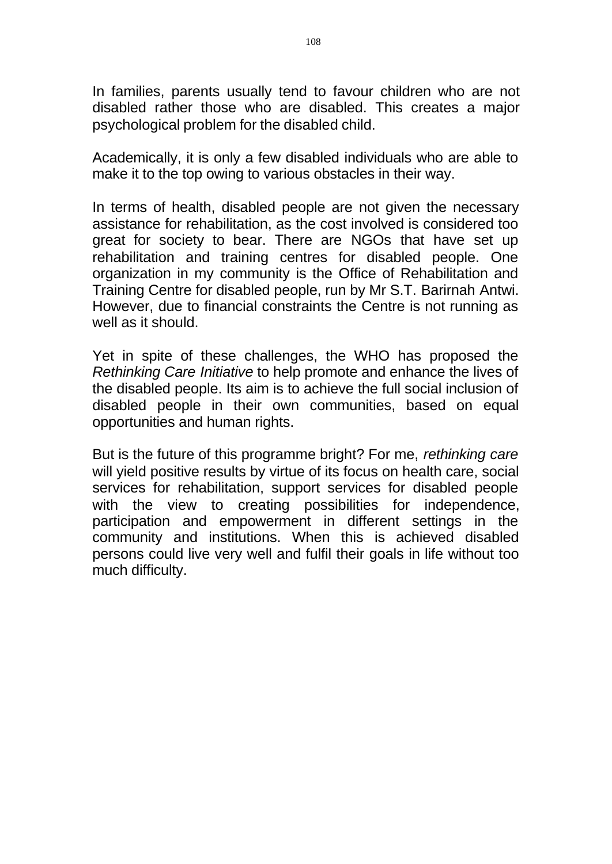In families, parents usually tend to favour children who are not disabled rather those who are disabled. This creates a major psychological problem for the disabled child.

Academically, it is only a few disabled individuals who are able to make it to the top owing to various obstacles in their way.

In terms of health, disabled people are not given the necessary assistance for rehabilitation, as the cost involved is considered too great for society to bear. There are NGOs that have set up rehabilitation and training centres for disabled people. One organization in my community is the Office of Rehabilitation and Training Centre for disabled people, run by Mr S.T. Barirnah Antwi. However, due to financial constraints the Centre is not running as well as it should.

Yet in spite of these challenges, the WHO has proposed the *Rethinking Care Initiative* to help promote and enhance the lives of the disabled people. Its aim is to achieve the full social inclusion of disabled people in their own communities, based on equal opportunities and human rights.

But is the future of this programme bright? For me, *rethinking care*  will yield positive results by virtue of its focus on health care, social services for rehabilitation, support services for disabled people with the view to creating possibilities for independence, participation and empowerment in different settings in the community and institutions. When this is achieved disabled persons could live very well and fulfil their goals in life without too much difficulty.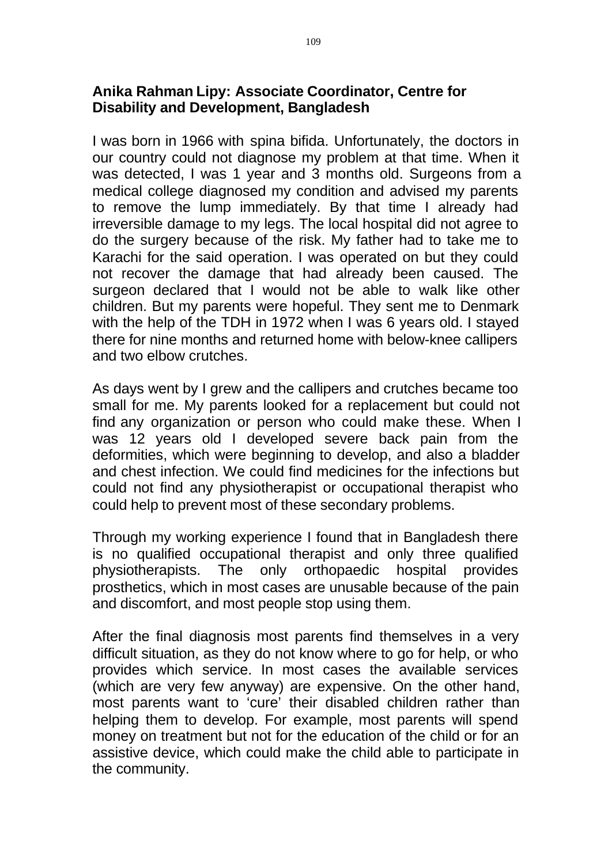## **Anika Rahman Lipy: Associate Coordinator, Centre for Disability and Development, Bangladesh**

I was born in 1966 with spina bifida. Unfortunately, the doctors in our country could not diagnose my problem at that time. When it was detected, I was 1 year and 3 months old. Surgeons from a medical college diagnosed my condition and advised my parents to remove the lump immediately. By that time I already had irreversible damage to my legs. The local hospital did not agree to do the surgery because of the risk. My father had to take me to Karachi for the said operation. I was operated on but they could not recover the damage that had already been caused. The surgeon declared that I would not be able to walk like other children. But my parents were hopeful. They sent me to Denmark with the help of the TDH in 1972 when I was 6 years old. I stayed there for nine months and returned home with below-knee callipers and two elbow crutches.

As days went by I grew and the callipers and crutches became too small for me. My parents looked for a replacement but could not find any organization or person who could make these. When I was 12 years old I developed severe back pain from the deformities, which were beginning to develop, and also a bladder and chest infection. We could find medicines for the infections but could not find any physiotherapist or occupational therapist who could help to prevent most of these secondary problems.

Through my working experience I found that in Bangladesh there is no qualified occupational therapist and only three qualified physiotherapists. The only orthopaedic hospital provides prosthetics, which in most cases are unusable because of the pain and discomfort, and most people stop using them.

After the final diagnosis most parents find themselves in a very difficult situation, as they do not know where to go for help, or who provides which service. In most cases the available services (which are very few anyway) are expensive. On the other hand, most parents want to 'cure' their disabled children rather than helping them to develop. For example, most parents will spend money on treatment but not for the education of the child or for an assistive device, which could make the child able to participate in the community.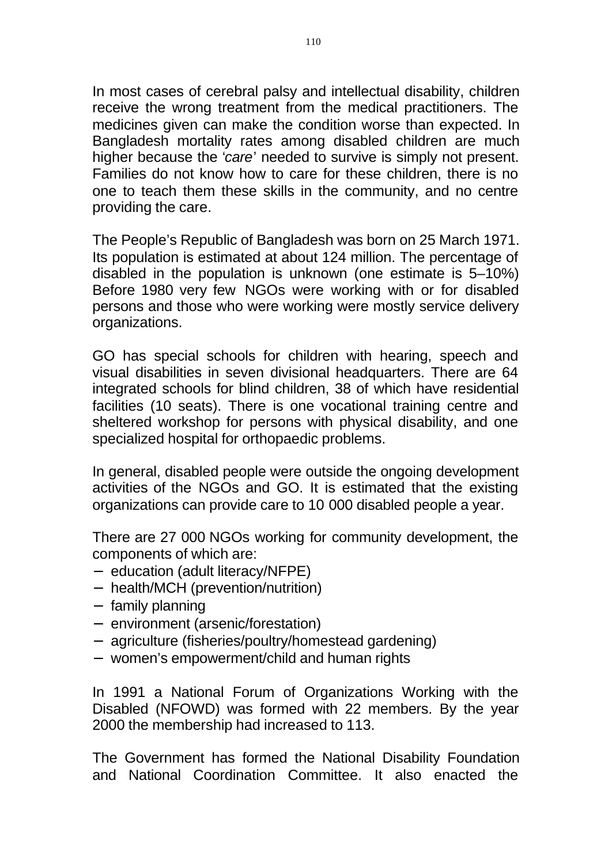In most cases of cerebral palsy and intellectual disability, children receive the wrong treatment from the medical practitioners. The medicines given can make the condition worse than expected. In Bangladesh mortality rates among disabled children are much higher because the '*care*' needed to survive is simply not present. Families do not know how to care for these children, there is no one to teach them these skills in the community, and no centre providing the care.

The People's Republic of Bangladesh was born on 25 March 1971. Its population is estimated at about 124 million. The percentage of disabled in the population is unknown (one estimate is 5–10%) Before 1980 very few NGOs were working with or for disabled persons and those who were working were mostly service delivery organizations.

GO has special schools for children with hearing, speech and visual disabilities in seven divisional headquarters. There are 64 integrated schools for blind children, 38 of which have residential facilities (10 seats). There is one vocational training centre and sheltered workshop for persons with physical disability, and one specialized hospital for orthopaedic problems.

In general, disabled people were outside the ongoing development activities of the NGOs and GO. It is estimated that the existing organizations can provide care to 10 000 disabled people a year.

There are 27 000 NGOs working for community development, the components of which are:

- education (adult literacy/NFPE)
- health/MCH (prevention/nutrition)
- family planning
- environment (arsenic/forestation)
- agriculture (fisheries/poultry/homestead gardening)
- women's empowerment/child and human rights

In 1991 a National Forum of Organizations Working with the Disabled (NFOWD) was formed with 22 members. By the year 2000 the membership had increased to 113.

The Government has formed the National Disability Foundation and National Coordination Committee. It also enacted the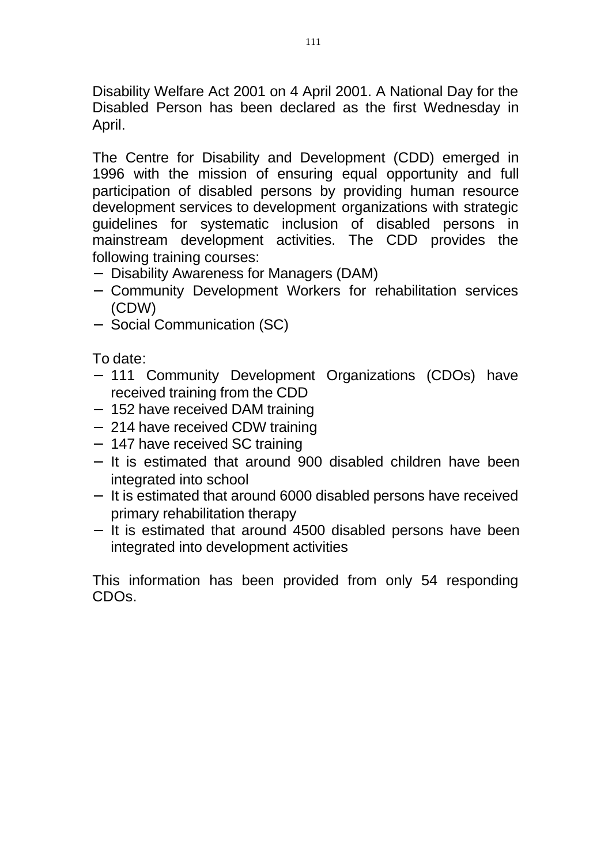Disability Welfare Act 2001 on 4 April 2001. A National Day for the Disabled Person has been declared as the first Wednesday in April.

The Centre for Disability and Development (CDD) emerged in 1996 with the mission of ensuring equal opportunity and full participation of disabled persons by providing human resource development services to development organizations with strategic guidelines for systematic inclusion of disabled persons in mainstream development activities. The CDD provides the following training courses:

- Disability Awareness for Managers (DAM)
- Community Development Workers for rehabilitation services (CDW)
- Social Communication (SC)

To date:

- 111 Community Development Organizations (CDOs) have received training from the CDD
- 152 have received DAM training
- 214 have received CDW training
- 147 have received SC training
- It is estimated that around 900 disabled children have been integrated into school
- It is estimated that around 6000 disabled persons have received primary rehabilitation therapy
- It is estimated that around 4500 disabled persons have been integrated into development activities

This information has been provided from only 54 responding CDOs.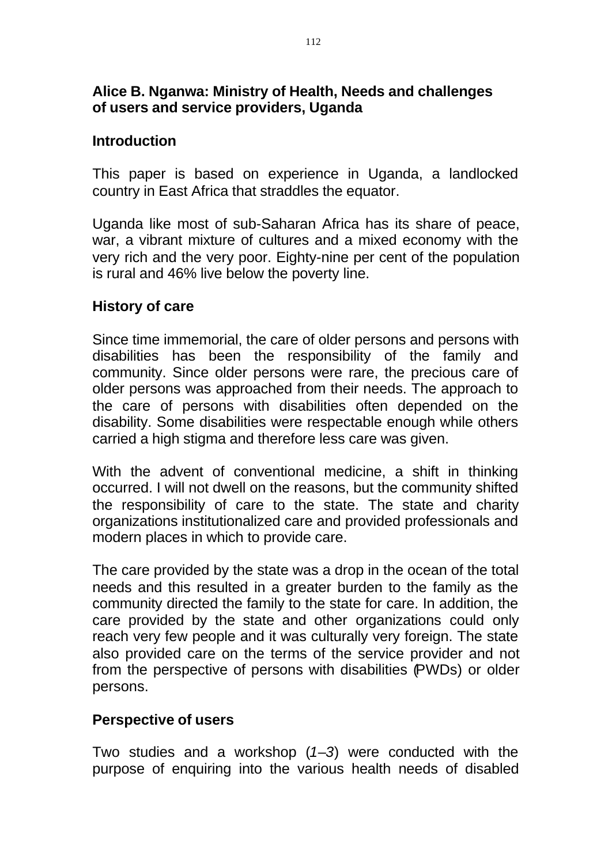# **Alice B. Nganwa: Ministry of Health, Needs and challenges of users and service providers, Uganda**

## **Introduction**

This paper is based on experience in Uganda, a landlocked country in East Africa that straddles the equator.

Uganda like most of sub-Saharan Africa has its share of peace, war, a vibrant mixture of cultures and a mixed economy with the very rich and the very poor. Eighty-nine per cent of the population is rural and 46% live below the poverty line.

## **History of care**

Since time immemorial, the care of older persons and persons with disabilities has been the responsibility of the family and community. Since older persons were rare, the precious care of older persons was approached from their needs. The approach to the care of persons with disabilities often depended on the disability. Some disabilities were respectable enough while others carried a high stigma and therefore less care was given.

With the advent of conventional medicine, a shift in thinking occurred. I will not dwell on the reasons, but the community shifted the responsibility of care to the state. The state and charity organizations institutionalized care and provided professionals and modern places in which to provide care.

The care provided by the state was a drop in the ocean of the total needs and this resulted in a greater burden to the family as the community directed the family to the state for care. In addition, the care provided by the state and other organizations could only reach very few people and it was culturally very foreign. The state also provided care on the terms of the service provider and not from the perspective of persons with disabilities (PWDs) or older persons.

# **Perspective of users**

Two studies and a workshop (*1*–*3*) were conducted with the purpose of enquiring into the various health needs of disabled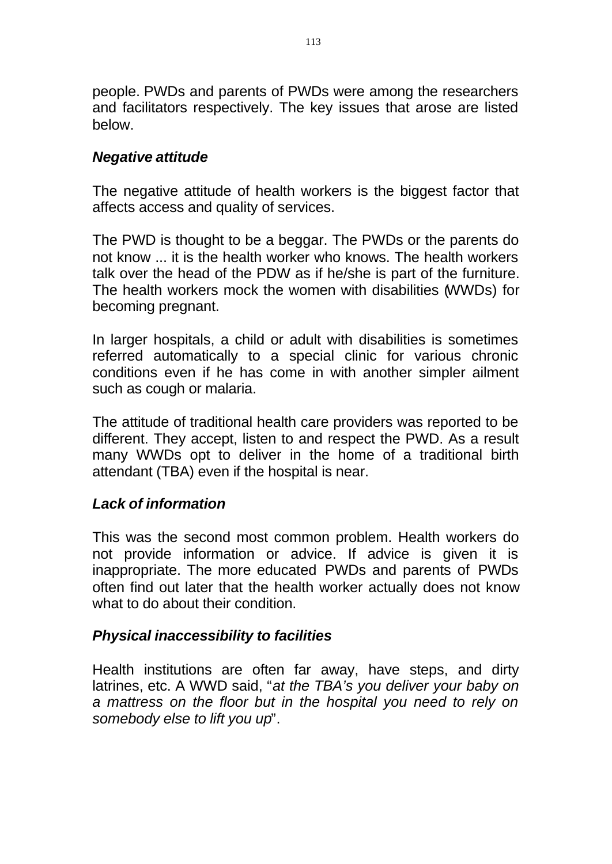people. PWDs and parents of PWDs were among the researchers and facilitators respectively. The key issues that arose are listed below.

## *Negative attitude*

The negative attitude of health workers is the biggest factor that affects access and quality of services.

The PWD is thought to be a beggar. The PWDs or the parents do not know ... it is the health worker who knows. The health workers talk over the head of the PDW as if he/she is part of the furniture. The health workers mock the women with disabilities (WWDs) for becoming pregnant.

In larger hospitals, a child or adult with disabilities is sometimes referred automatically to a special clinic for various chronic conditions even if he has come in with another simpler ailment such as cough or malaria.

The attitude of traditional health care providers was reported to be different. They accept, listen to and respect the PWD. As a result many WWDs opt to deliver in the home of a traditional birth attendant (TBA) even if the hospital is near.

# *Lack of information*

This was the second most common problem. Health workers do not provide information or advice. If advice is given it is inappropriate. The more educated PWDs and parents of PWDs often find out later that the health worker actually does not know what to do about their condition.

#### *Physical inaccessibility to facilities*

Health institutions are often far away, have steps, and dirty latrines, etc. A WWD said, "*at the TBA's you deliver your baby on a mattress on the floor but in the hospital you need to rely on somebody else to lift you up*".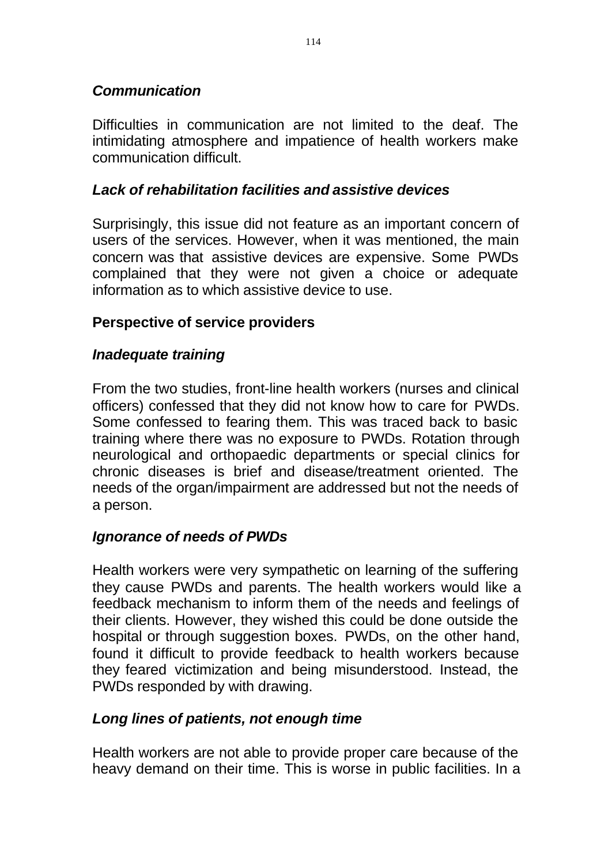# *Communication*

Difficulties in communication are not limited to the deaf. The intimidating atmosphere and impatience of health workers make communication difficult.

# *Lack of rehabilitation facilities and assistive devices*

Surprisingly, this issue did not feature as an important concern of users of the services. However, when it was mentioned, the main concern was that assistive devices are expensive. Some PWDs complained that they were not given a choice or adequate information as to which assistive device to use.

# **Perspective of service providers**

# *Inadequate training*

From the two studies, front-line health workers (nurses and clinical officers) confessed that they did not know how to care for PWDs. Some confessed to fearing them. This was traced back to basic training where there was no exposure to PWDs. Rotation through neurological and orthopaedic departments or special clinics for chronic diseases is brief and disease/treatment oriented. The needs of the organ/impairment are addressed but not the needs of a person.

# *Ignorance of needs of PWDs*

Health workers were very sympathetic on learning of the suffering they cause PWDs and parents. The health workers would like a feedback mechanism to inform them of the needs and feelings of their clients. However, they wished this could be done outside the hospital or through suggestion boxes. PWDs, on the other hand, found it difficult to provide feedback to health workers because they feared victimization and being misunderstood. Instead, the PWDs responded by with drawing.

# *Long lines of patients, not enough time*

Health workers are not able to provide proper care because of the heavy demand on their time. This is worse in public facilities. In a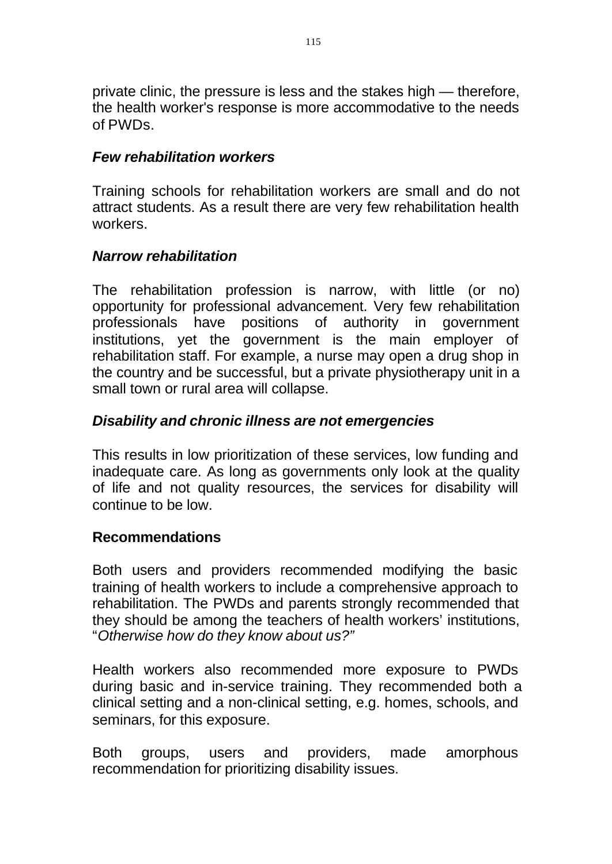private clinic, the pressure is less and the stakes high — therefore, the health worker's response is more accommodative to the needs of PWDs.

## *Few rehabilitation workers*

Training schools for rehabilitation workers are small and do not attract students. As a result there are very few rehabilitation health workers.

## *Narrow rehabilitation*

The rehabilitation profession is narrow, with little (or no) opportunity for professional advancement. Very few rehabilitation professionals have positions of authority in government institutions, yet the government is the main employer of rehabilitation staff. For example, a nurse may open a drug shop in the country and be successful, but a private physiotherapy unit in a small town or rural area will collapse.

# *Disability and chronic illness are not emergencies*

This results in low prioritization of these services, low funding and inadequate care. As long as governments only look at the quality of life and not quality resources, the services for disability will continue to be low.

#### **Recommendations**

Both users and providers recommended modifying the basic training of health workers to include a comprehensive approach to rehabilitation. The PWDs and parents strongly recommended that they should be among the teachers of health workers' institutions, "*Otherwise how do they know about us?"* 

Health workers also recommended more exposure to PWDs during basic and in-service training. They recommended both a clinical setting and a non-clinical setting, e.g. homes, schools, and seminars, for this exposure.

Both groups, users and providers, made amorphous recommendation for prioritizing disability issues.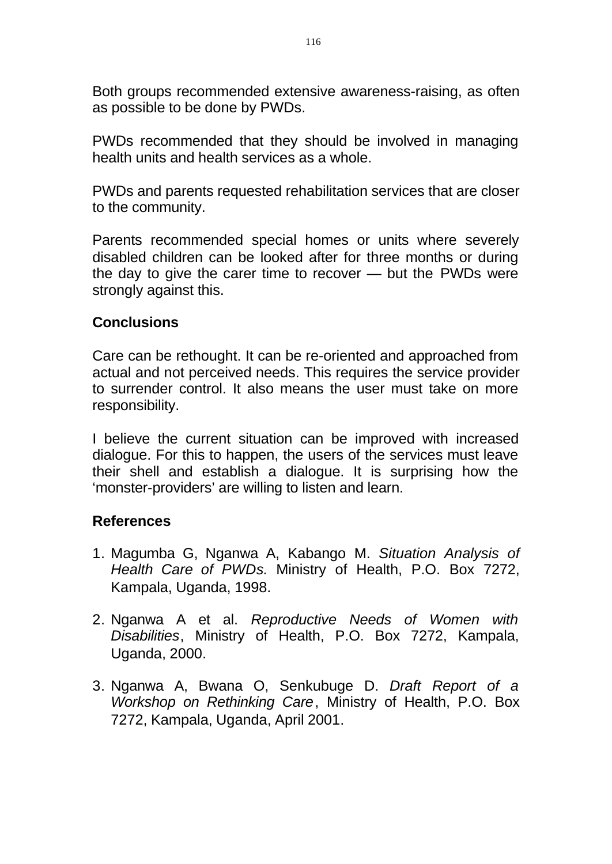Both groups recommended extensive awareness-raising, as often as possible to be done by PWDs.

PWDs recommended that they should be involved in managing health units and health services as a whole.

PWDs and parents requested rehabilitation services that are closer to the community.

Parents recommended special homes or units where severely disabled children can be looked after for three months or during the day to give the carer time to recover — but the PWDs were strongly against this.

## **Conclusions**

Care can be rethought. It can be re-oriented and approached from actual and not perceived needs. This requires the service provider to surrender control. It also means the user must take on more responsibility.

I believe the current situation can be improved with increased dialogue. For this to happen, the users of the services must leave their shell and establish a dialogue. It is surprising how the 'monster-providers' are willing to listen and learn.

#### **References**

- 1. Magumba G, Nganwa A, Kabango M. *Situation Analysis of Health Care of PWDs.* Ministry of Health, P.O. Box 7272, Kampala, Uganda, 1998.
- 2. Nganwa A et al. *Reproductive Needs of Women with Disabilities*, Ministry of Health, P.O. Box 7272, Kampala, Uganda, 2000.
- 3. Nganwa A, Bwana O, Senkubuge D. *Draft Report of a Workshop on Rethinking Care* , Ministry of Health, P.O. Box 7272, Kampala, Uganda, April 2001.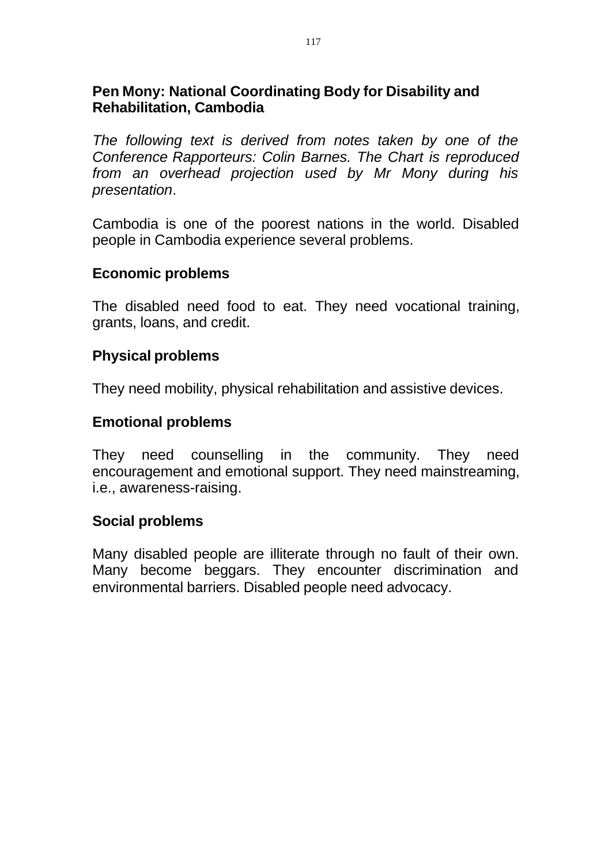## **Pen Mony: National Coordinating Body for Disability and Rehabilitation, Cambodia**

*The following text is derived from notes taken by one of the Conference Rapporteurs: Colin Barnes. The Chart is reproduced from an overhead projection used by Mr Mony during his presentation*.

Cambodia is one of the poorest nations in the world. Disabled people in Cambodia experience several problems.

#### **Economic problems**

The disabled need food to eat. They need vocational training, grants, loans, and credit.

# **Physical problems**

They need mobility, physical rehabilitation and assistive devices.

## **Emotional problems**

They need counselling in the community. They need encouragement and emotional support. They need mainstreaming, i.e., awareness-raising.

#### **Social problems**

Many disabled people are illiterate through no fault of their own. Many become beggars. They encounter discrimination and environmental barriers. Disabled people need advocacy.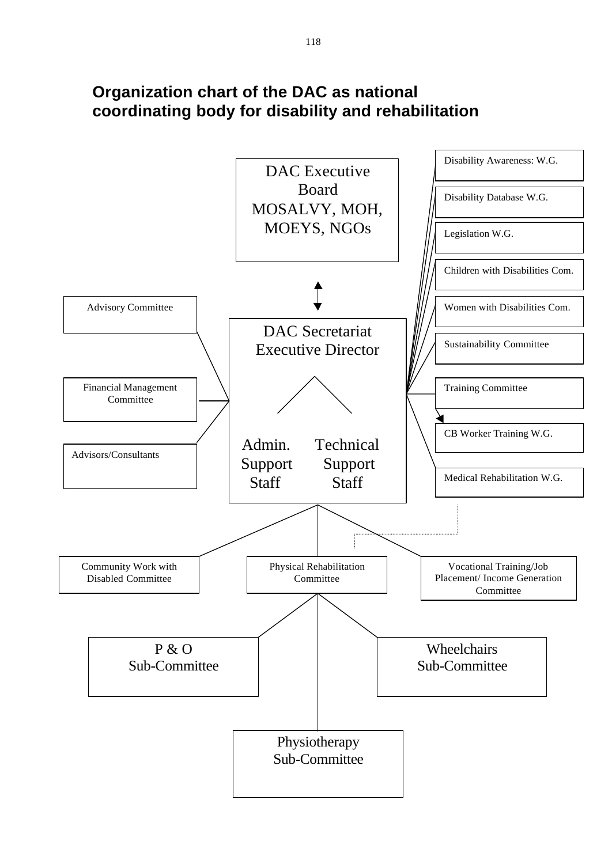# **Organization chart of the DAC as national coordinating body for disability and rehabilitation**

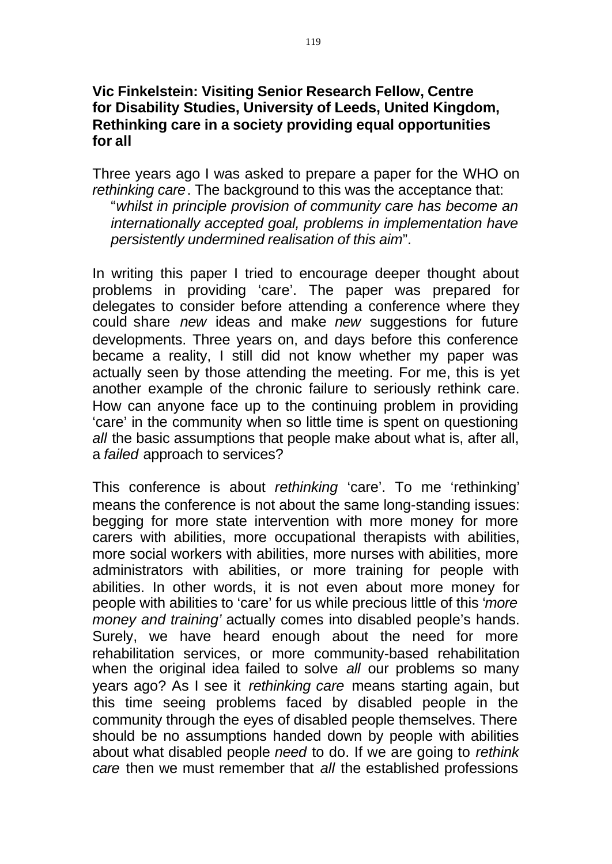## **Vic Finkelstein: Visiting Senior Research Fellow, Centre for Disability Studies, University of Leeds, United Kingdom, Rethinking care in a society providing equal opportunities for all**

Three years ago I was asked to prepare a paper for the WHO on *rethinking care*. The background to this was the acceptance that: "*whilst in principle provision of community care has become an internationally accepted goal, problems in implementation have persistently undermined realisation of this aim*"*.* 

In writing this paper I tried to encourage deeper thought about problems in providing 'care'. The paper was prepared for delegates to consider before attending a conference where they could share *new* ideas and make *new* suggestions for future developments. Three years on, and days before this conference became a reality, I still did not know whether my paper was actually seen by those attending the meeting. For me, this is yet another example of the chronic failure to seriously rethink care. How can anyone face up to the continuing problem in providing 'care' in the community when so little time is spent on questioning *all* the basic assumptions that people make about what is, after all, a *failed* approach to services?

This conference is about *rethinking* 'care'. To me 'rethinking' means the conference is not about the same long-standing issues: begging for more state intervention with more money for more carers with abilities, more occupational therapists with abilities, more social workers with abilities, more nurses with abilities, more administrators with abilities, or more training for people with abilities. In other words, it is not even about more money for people with abilities to 'care' for us while precious little of this '*more money and training'* actually comes into disabled people's hands. Surely, we have heard enough about the need for more rehabilitation services, or more community-based rehabilitation when the original idea failed to solve *all* our problems so many years ago? As I see it *rethinking care* means starting again, but this time seeing problems faced by disabled people in the community through the eyes of disabled people themselves. There should be no assumptions handed down by people with abilities about what disabled people *need* to do. If we are going to *rethink care* then we must remember that *all* the established professions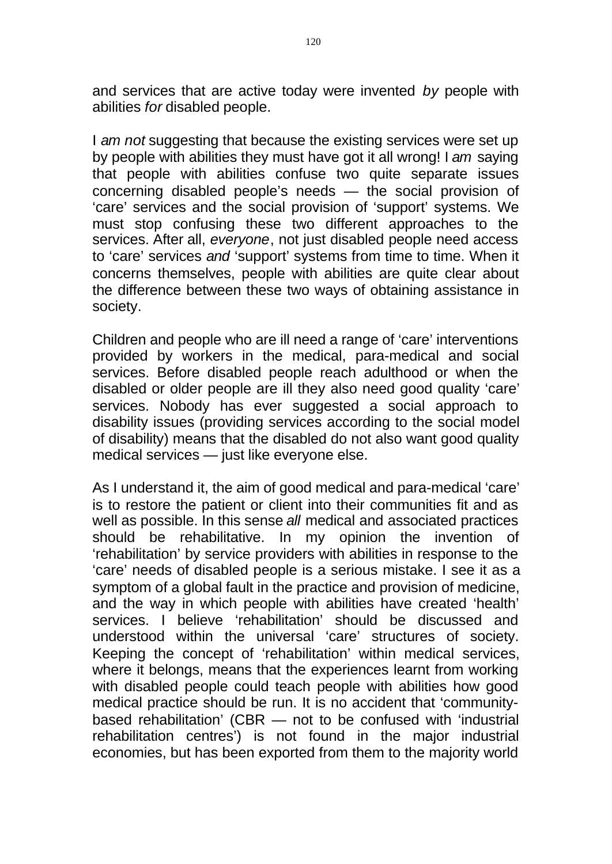and services that are active today were invented *by* people with abilities *for* disabled people.

I *am not* suggesting that because the existing services were set up by people with abilities they must have got it all wrong! I *am* saying that people with abilities confuse two quite separate issues concerning disabled people's needs — the social provision of 'care' services and the social provision of 'support' systems. We must stop confusing these two different approaches to the services. After all, *everyone*, not just disabled people need access to 'care' services *and* 'support' systems from time to time. When it concerns themselves, people with abilities are quite clear about the difference between these two ways of obtaining assistance in society.

Children and people who are ill need a range of 'care' interventions provided by workers in the medical, para-medical and social services. Before disabled people reach adulthood or when the disabled or older people are ill they also need good quality 'care' services. Nobody has ever suggested a social approach to disability issues (providing services according to the social model of disability) means that the disabled do not also want good quality medical services — just like everyone else.

As I understand it, the aim of good medical and para-medical 'care' is to restore the patient or client into their communities fit and as well as possible. In this sense *all* medical and associated practices should be rehabilitative. In my opinion the invention of 'rehabilitation' by service providers with abilities in response to the 'care' needs of disabled people is a serious mistake. I see it as a symptom of a global fault in the practice and provision of medicine, and the way in which people with abilities have created 'health' services. I believe 'rehabilitation' should be discussed and understood within the universal 'care' structures of society. Keeping the concept of 'rehabilitation' within medical services, where it belongs, means that the experiences learnt from working with disabled people could teach people with abilities how good medical practice should be run. It is no accident that 'communitybased rehabilitation' (CBR — not to be confused with 'industrial rehabilitation centres') is not found in the major industrial economies, but has been exported from them to the majority world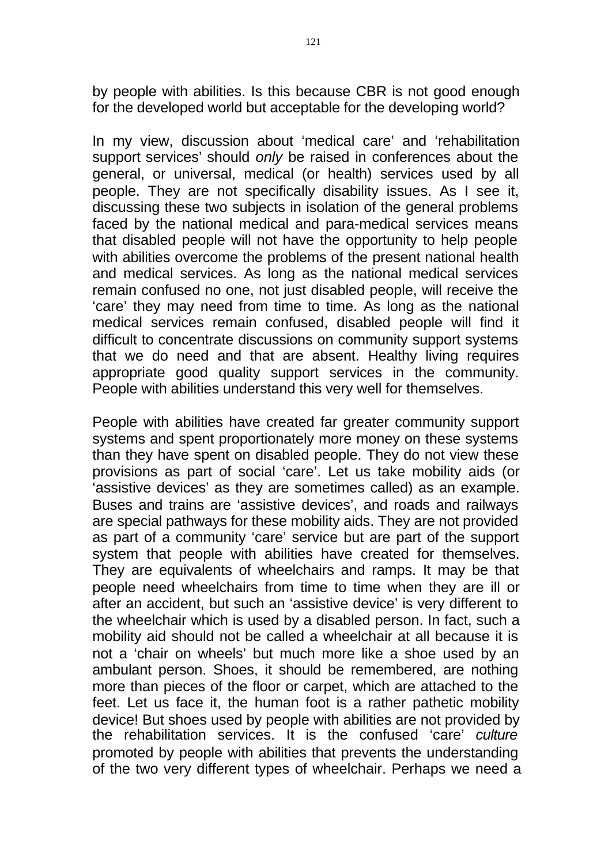by people with abilities. Is this because CBR is not good enough for the developed world but acceptable for the developing world?

In my view, discussion about 'medical care' and 'rehabilitation support services' should *only* be raised in conferences about the general, or universal, medical (or health) services used by all people. They are not specifically disability issues. As I see it, discussing these two subjects in isolation of the general problems faced by the national medical and para-medical services means that disabled people will not have the opportunity to help people with abilities overcome the problems of the present national health and medical services. As long as the national medical services remain confused no one, not just disabled people, will receive the 'care' they may need from time to time. As long as the national medical services remain confused, disabled people will find it difficult to concentrate discussions on community support systems that we do need and that are absent. Healthy living requires appropriate good quality support services in the community. People with abilities understand this very well for themselves.

People with abilities have created far greater community support systems and spent proportionately more money on these systems than they have spent on disabled people. They do not view these provisions as part of social 'care'. Let us take mobility aids (or 'assistive devices' as they are sometimes called) as an example. Buses and trains are 'assistive devices', and roads and railways are special pathways for these mobility aids. They are not provided as part of a community 'care' service but are part of the support system that people with abilities have created for themselves. They are equivalents of wheelchairs and ramps. It may be that people need wheelchairs from time to time when they are ill or after an accident, but such an 'assistive device' is very different to the wheelchair which is used by a disabled person. In fact, such a mobility aid should not be called a wheelchair at all because it is not a 'chair on wheels' but much more like a shoe used by an ambulant person. Shoes, it should be remembered, are nothing more than pieces of the floor or carpet, which are attached to the feet. Let us face it, the human foot is a rather pathetic mobility device! But shoes used by people with abilities are not provided by the rehabilitation services. It is the confused 'care' *culture*  promoted by people with abilities that prevents the understanding of the two very different types of wheelchair. Perhaps we need a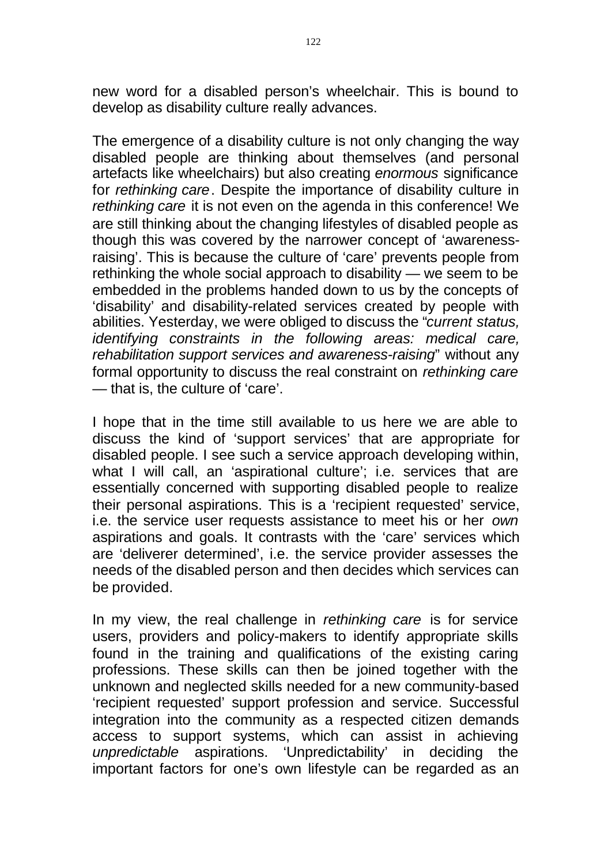new word for a disabled person's wheelchair. This is bound to develop as disability culture really advances.

The emergence of a disability culture is not only changing the way disabled people are thinking about themselves (and personal artefacts like wheelchairs) but also creating *enormous* significance for *rethinking care*. Despite the importance of disability culture in *rethinking care* it is not even on the agenda in this conference! We are still thinking about the changing lifestyles of disabled people as though this was covered by the narrower concept of 'awarenessraising'. This is because the culture of 'care' prevents people from rethinking the whole social approach to disability — we seem to be embedded in the problems handed down to us by the concepts of 'disability' and disability-related services created by people with abilities. Yesterday, we were obliged to discuss the "*current status, identifying constraints in the following areas: medical care, rehabilitation support services and awareness-raising*" without any formal opportunity to discuss the real constraint on *rethinking care*  — that is, the culture of 'care'.

I hope that in the time still available to us here we are able to discuss the kind of 'support services' that are appropriate for disabled people. I see such a service approach developing within, what I will call, an 'aspirational culture'; i.e. services that are essentially concerned with supporting disabled people to realize their personal aspirations. This is a 'recipient requested' service, i.e. the service user requests assistance to meet his or her *own*  aspirations and goals. It contrasts with the 'care' services which are 'deliverer determined', i.e. the service provider assesses the needs of the disabled person and then decides which services can be provided.

In my view, the real challenge in *rethinking care* is for service users, providers and policy-makers to identify appropriate skills found in the training and qualifications of the existing caring professions. These skills can then be joined together with the unknown and neglected skills needed for a new community-based 'recipient requested' support profession and service. Successful integration into the community as a respected citizen demands access to support systems, which can assist in achieving *unpredictable* aspirations. 'Unpredictability' in deciding the important factors for one's own lifestyle can be regarded as an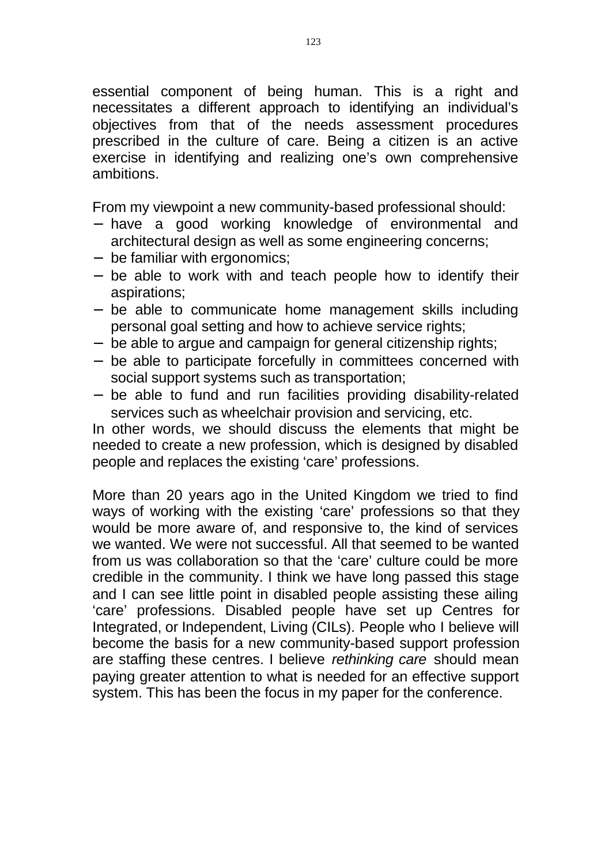essential component of being human. This is a right and necessitates a different approach to identifying an individual's objectives from that of the needs assessment procedures prescribed in the culture of care. Being a citizen is an active exercise in identifying and realizing one's own comprehensive ambitions.

From my viewpoint a new community-based professional should:

- have a good working knowledge of environmental and architectural design as well as some engineering concerns;
- be familiar with ergonomics;
- be able to work with and teach people how to identify their aspirations;
- be able to communicate home management skills including personal goal setting and how to achieve service rights;
- be able to argue and campaign for general citizenship rights;
- be able to participate forcefully in committees concerned with social support systems such as transportation;
- be able to fund and run facilities providing disability-related services such as wheelchair provision and servicing, etc.

In other words, we should discuss the elements that might be needed to create a new profession, which is designed by disabled people and replaces the existing 'care' professions.

More than 20 years ago in the United Kingdom we tried to find ways of working with the existing 'care' professions so that they would be more aware of, and responsive to, the kind of services we wanted. We were not successful. All that seemed to be wanted from us was collaboration so that the 'care' culture could be more credible in the community. I think we have long passed this stage and I can see little point in disabled people assisting these ailing 'care' professions. Disabled people have set up Centres for Integrated, or Independent, Living (CILs). People who I believe will become the basis for a new community-based support profession are staffing these centres. I believe *rethinking care* should mean paying greater attention to what is needed for an effective support system. This has been the focus in my paper for the conference.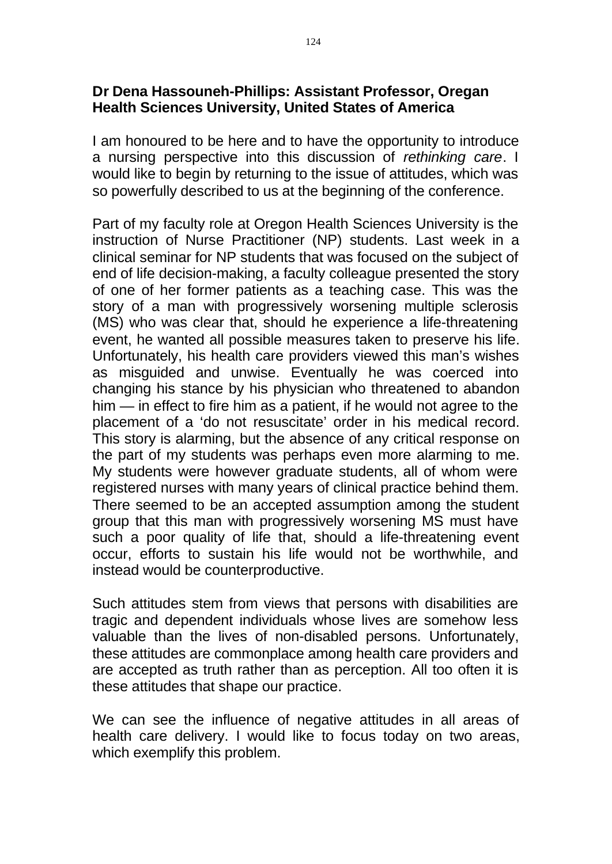## **Dr Dena Hassouneh-Phillips: Assistant Professor, Oregan Health Sciences University, United States of America**

I am honoured to be here and to have the opportunity to introduce a nursing perspective into this discussion of *rethinking care*. I would like to begin by returning to the issue of attitudes, which was so powerfully described to us at the beginning of the conference.

Part of my faculty role at Oregon Health Sciences University is the instruction of Nurse Practitioner (NP) students. Last week in a clinical seminar for NP students that was focused on the subject of end of life decision-making, a faculty colleague presented the story of one of her former patients as a teaching case. This was the story of a man with progressively worsening multiple sclerosis (MS) who was clear that, should he experience a life-threatening event, he wanted all possible measures taken to preserve his life. Unfortunately, his health care providers viewed this man's wishes as misguided and unwise. Eventually he was coerced into changing his stance by his physician who threatened to abandon him — in effect to fire him as a patient, if he would not agree to the placement of a 'do not resuscitate' order in his medical record. This story is alarming, but the absence of any critical response on the part of my students was perhaps even more alarming to me. My students were however graduate students, all of whom were registered nurses with many years of clinical practice behind them. There seemed to be an accepted assumption among the student group that this man with progressively worsening MS must have such a poor quality of life that, should a life-threatening event occur, efforts to sustain his life would not be worthwhile, and instead would be counterproductive.

Such attitudes stem from views that persons with disabilities are tragic and dependent individuals whose lives are somehow less valuable than the lives of non-disabled persons. Unfortunately, these attitudes are commonplace among health care providers and are accepted as truth rather than as perception. All too often it is these attitudes that shape our practice.

We can see the influence of negative attitudes in all areas of health care delivery. I would like to focus today on two areas, which exemplify this problem.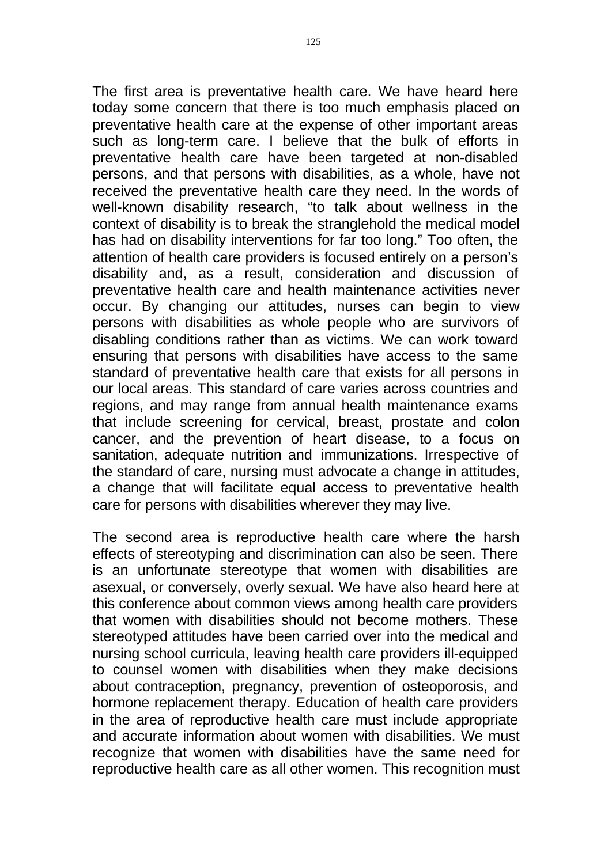The first area is preventative health care. We have heard here today some concern that there is too much emphasis placed on preventative health care at the expense of other important areas such as long-term care. I believe that the bulk of efforts in preventative health care have been targeted at non-disabled persons, and that persons with disabilities, as a whole, have not received the preventative health care they need. In the words of well-known disability research, "to talk about wellness in the context of disability is to break the stranglehold the medical model has had on disability interventions for far too long." Too often, the attention of health care providers is focused entirely on a person's disability and, as a result, consideration and discussion of preventative health care and health maintenance activities never occur. By changing our attitudes, nurses can begin to view persons with disabilities as whole people who are survivors of disabling conditions rather than as victims. We can work toward ensuring that persons with disabilities have access to the same standard of preventative health care that exists for all persons in our local areas. This standard of care varies across countries and regions, and may range from annual health maintenance exams that include screening for cervical, breast, prostate and colon cancer, and the prevention of heart disease, to a focus on sanitation, adequate nutrition and immunizations. Irrespective of the standard of care, nursing must advocate a change in attitudes, a change that will facilitate equal access to preventative health care for persons with disabilities wherever they may live.

The second area is reproductive health care where the harsh effects of stereotyping and discrimination can also be seen. There is an unfortunate stereotype that women with disabilities are asexual, or conversely, overly sexual. We have also heard here at this conference about common views among health care providers that women with disabilities should not become mothers. These stereotyped attitudes have been carried over into the medical and nursing school curricula, leaving health care providers ill-equipped to counsel women with disabilities when they make decisions about contraception, pregnancy, prevention of osteoporosis, and hormone replacement therapy. Education of health care providers in the area of reproductive health care must include appropriate and accurate information about women with disabilities. We must recognize that women with disabilities have the same need for reproductive health care as all other women. This recognition must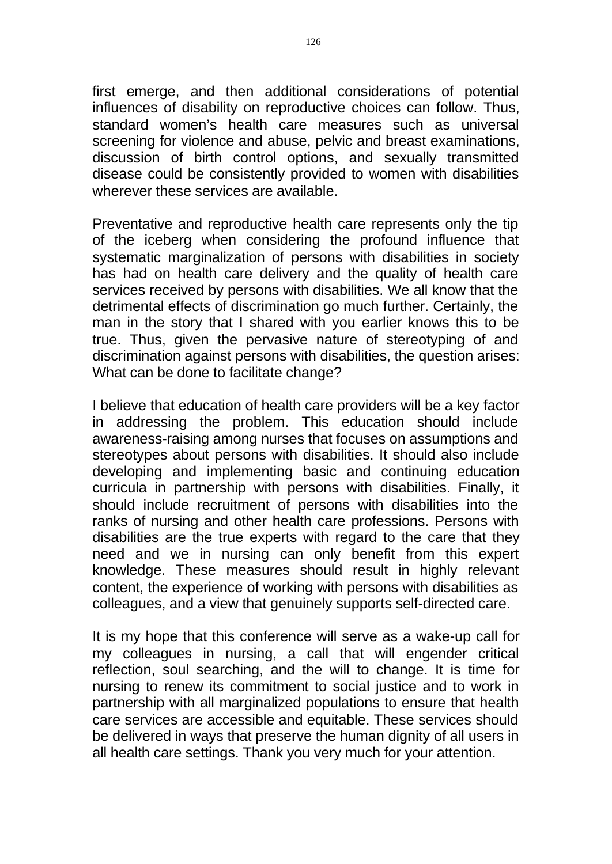first emerge, and then additional considerations of potential influences of disability on reproductive choices can follow. Thus, standard women's health care measures such as universal screening for violence and abuse, pelvic and breast examinations, discussion of birth control options, and sexually transmitted disease could be consistently provided to women with disabilities wherever these services are available.

Preventative and reproductive health care represents only the tip of the iceberg when considering the profound influence that systematic marginalization of persons with disabilities in society has had on health care delivery and the quality of health care services received by persons with disabilities. We all know that the detrimental effects of discrimination go much further. Certainly, the man in the story that I shared with you earlier knows this to be true. Thus, given the pervasive nature of stereotyping of and discrimination against persons with disabilities, the question arises: What can be done to facilitate change?

I believe that education of health care providers will be a key factor in addressing the problem. This education should include awareness-raising among nurses that focuses on assumptions and stereotypes about persons with disabilities. It should also include developing and implementing basic and continuing education curricula in partnership with persons with disabilities. Finally, it should include recruitment of persons with disabilities into the ranks of nursing and other health care professions. Persons with disabilities are the true experts with regard to the care that they need and we in nursing can only benefit from this expert knowledge. These measures should result in highly relevant content, the experience of working with persons with disabilities as colleagues, and a view that genuinely supports self-directed care.

It is my hope that this conference will serve as a wake-up call for my colleagues in nursing, a call that will engender critical reflection, soul searching, and the will to change. It is time for nursing to renew its commitment to social justice and to work in partnership with all marginalized populations to ensure that health care services are accessible and equitable. These services should be delivered in ways that preserve the human dignity of all users in all health care settings. Thank you very much for your attention.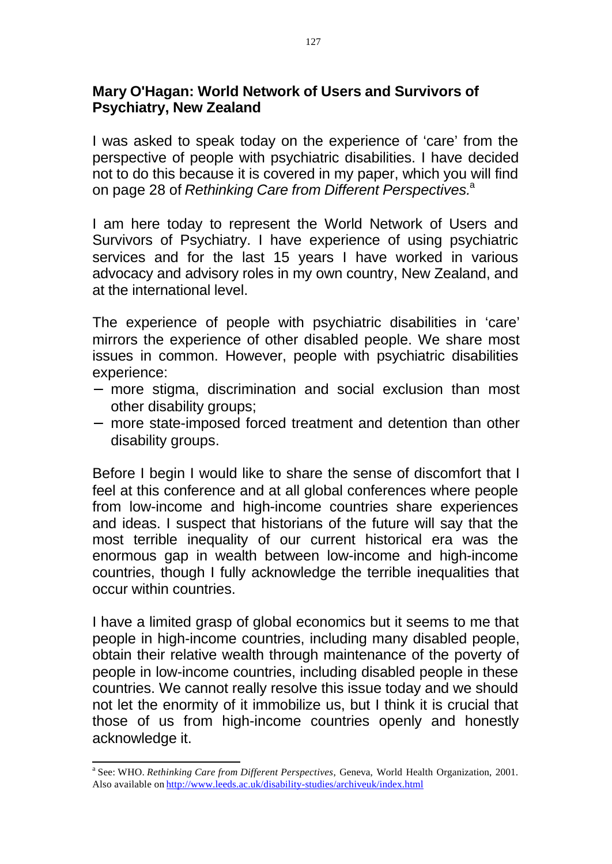## **Mary O'Hagan: World Network of Users and Survivors of Psychiatry, New Zealand**

I was asked to speak today on the experience of 'care' from the perspective of people with psychiatric disabilities. I have decided not to do this because it is covered in my paper, which you will find on page 28 of *Rethinking Care from Different Perspectives*.<sup>a</sup>

I am here today to represent the World Network of Users and Survivors of Psychiatry. I have experience of using psychiatric services and for the last 15 years I have worked in various advocacy and advisory roles in my own country, New Zealand, and at the international level.

The experience of people with psychiatric disabilities in 'care' mirrors the experience of other disabled people. We share most issues in common. However, people with psychiatric disabilities experience:

- more stigma, discrimination and social exclusion than most other disability groups;
- more state-imposed forced treatment and detention than other disability groups.

Before I begin I would like to share the sense of discomfort that I feel at this conference and at all global conferences where people from low-income and high-income countries share experiences and ideas. I suspect that historians of the future will say that the most terrible inequality of our current historical era was the enormous gap in wealth between low-income and high-income countries, though I fully acknowledge the terrible inequalities that occur within countries.

I have a limited grasp of global economics but it seems to me that people in high-income countries, including many disabled people, obtain their relative wealth through maintenance of the poverty of people in low-income countries, including disabled people in these countries. We cannot really resolve this issue today and we should not let the enormity of it immobilize us, but I think it is crucial that those of us from high-income countries openly and honestly acknowledge it.

<sup>&</sup>lt;sup>a</sup> See: WHO. *Rethinking Care from Different Perspectives*, Geneva, World Health Organization, 2001. Also available on http://www.leeds.ac.uk/disability-studies/archiveuk/index.html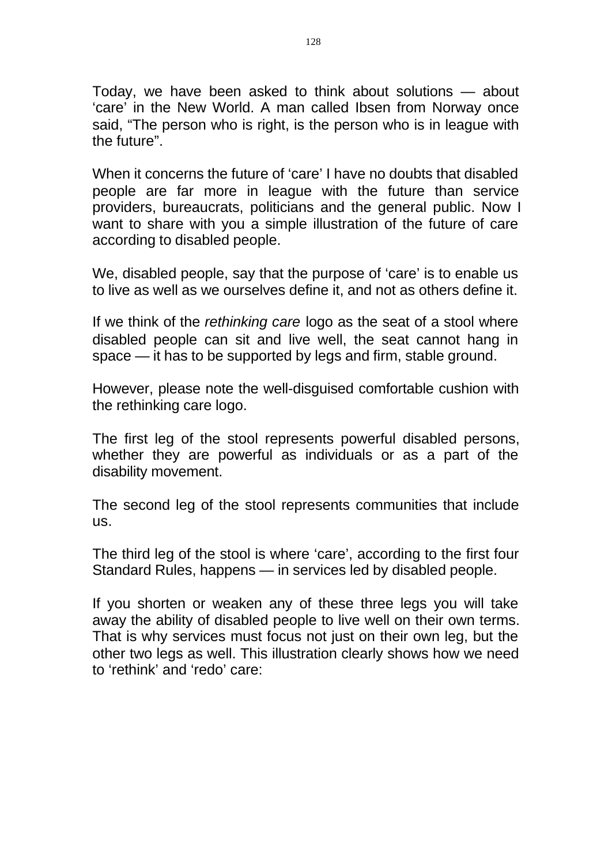Today, we have been asked to think about solutions — about 'care' in the New World. A man called Ibsen from Norway once said, "The person who is right, is the person who is in league with the future".

When it concerns the future of 'care' I have no doubts that disabled people are far more in league with the future than service providers, bureaucrats, politicians and the general public. Now I want to share with you a simple illustration of the future of care according to disabled people.

We, disabled people, say that the purpose of 'care' is to enable us to live as well as we ourselves define it, and not as others define it.

If we think of the *rethinking care* logo as the seat of a stool where disabled people can sit and live well, the seat cannot hang in space — it has to be supported by legs and firm, stable ground.

However, please note the well-disguised comfortable cushion with the rethinking care logo.

The first leg of the stool represents powerful disabled persons, whether they are powerful as individuals or as a part of the disability movement.

The second leg of the stool represents communities that include us.

The third leg of the stool is where 'care', according to the first four Standard Rules, happens — in services led by disabled people.

If you shorten or weaken any of these three legs you will take away the ability of disabled people to live well on their own terms. That is why services must focus not just on their own leg, but the other two legs as well. This illustration clearly shows how we need to 'rethink' and 'redo' care: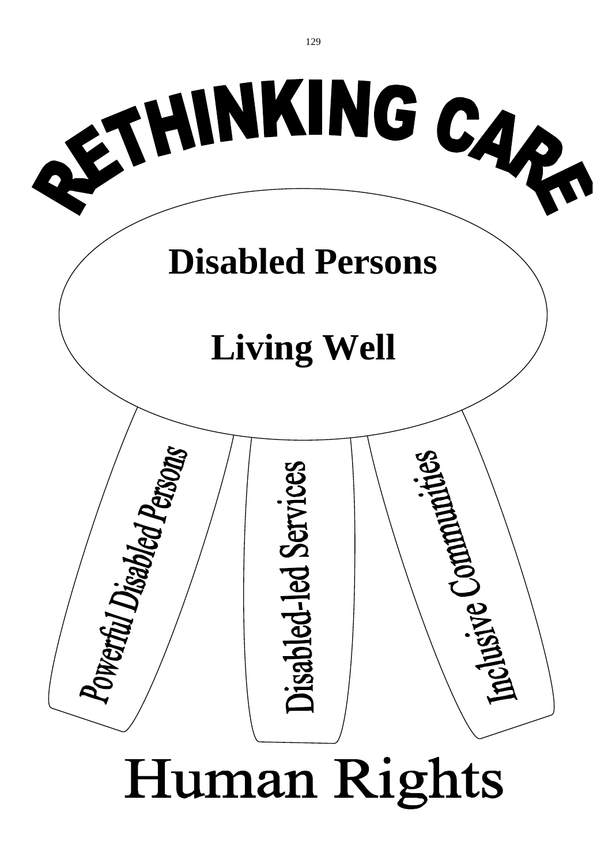

# Human Rights

129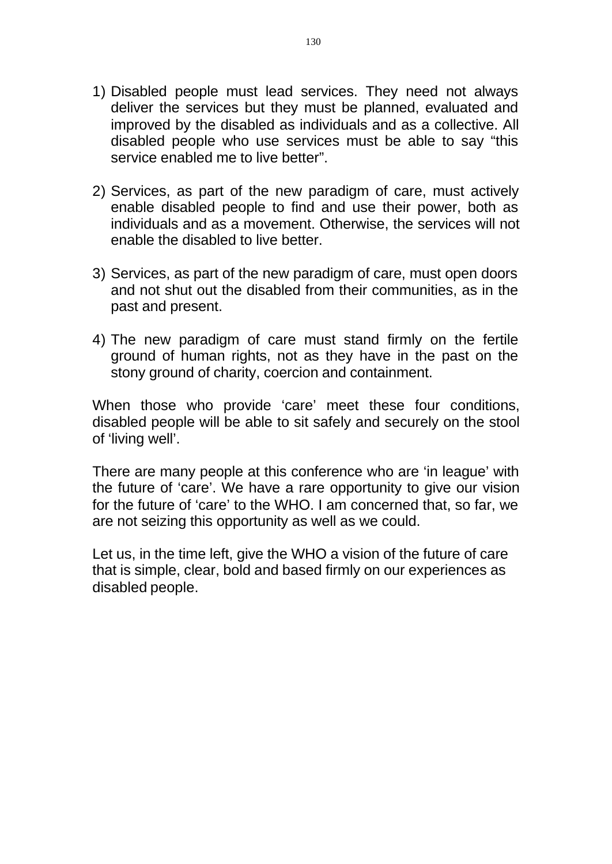- 1) Disabled people must lead services. They need not always deliver the services but they must be planned, evaluated and improved by the disabled as individuals and as a collective. All disabled people who use services must be able to say "this service enabled me to live better".
- 2) Services, as part of the new paradigm of care, must actively enable disabled people to find and use their power, both as individuals and as a movement. Otherwise, the services will not enable the disabled to live better.
- 3) Services, as part of the new paradigm of care, must open doors and not shut out the disabled from their communities, as in the past and present.
- 4) The new paradigm of care must stand firmly on the fertile ground of human rights, not as they have in the past on the stony ground of charity, coercion and containment.

When those who provide 'care' meet these four conditions, disabled people will be able to sit safely and securely on the stool of 'living well'.

There are many people at this conference who are 'in league' with the future of 'care'. We have a rare opportunity to give our vision for the future of 'care' to the WHO. I am concerned that, so far, we are not seizing this opportunity as well as we could.

Let us, in the time left, give the WHO a vision of the future of care that is simple, clear, bold and based firmly on our experiences as disabled people.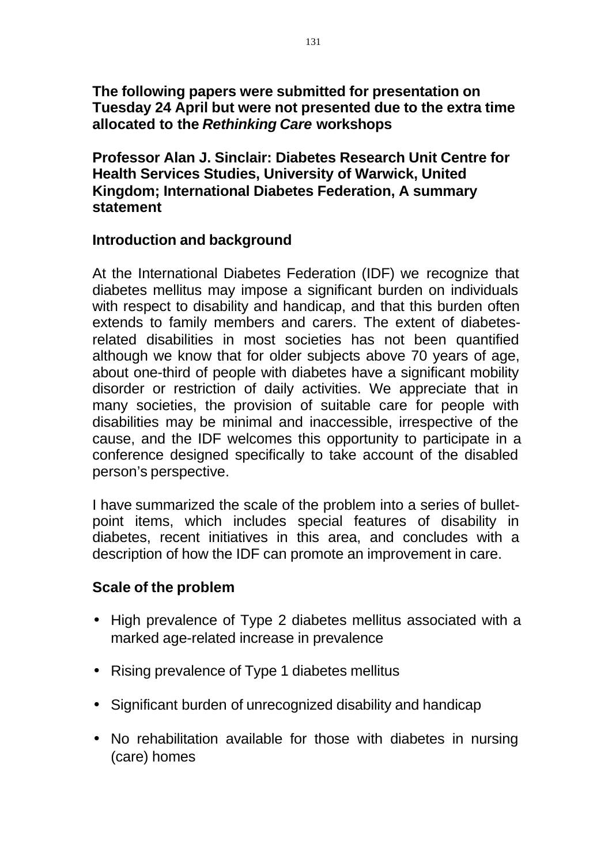## **The following papers were submitted for presentation on Tuesday 24 April but were not presented due to the extra time allocated to the** *Rethinking Care* **workshops**

**Professor Alan J. Sinclair: Diabetes Research Unit Centre for Health Services Studies, University of Warwick, United Kingdom; International Diabetes Federation, A summary statement** 

#### **Introduction and background**

At the International Diabetes Federation (IDF) we recognize that diabetes mellitus may impose a significant burden on individuals with respect to disability and handicap, and that this burden often extends to family members and carers. The extent of diabetesrelated disabilities in most societies has not been quantified although we know that for older subjects above 70 years of age, about one-third of people with diabetes have a significant mobility disorder or restriction of daily activities. We appreciate that in many societies, the provision of suitable care for people with disabilities may be minimal and inaccessible, irrespective of the cause, and the IDF welcomes this opportunity to participate in a conference designed specifically to take account of the disabled person's perspective.

I have summarized the scale of the problem into a series of bulletpoint items, which includes special features of disability in diabetes, recent initiatives in this area, and concludes with a description of how the IDF can promote an improvement in care.

# **Scale of the problem**

- High prevalence of Type 2 diabetes mellitus associated with a marked age-related increase in prevalence
- Rising prevalence of Type 1 diabetes mellitus
- Significant burden of unrecognized disability and handicap
- No rehabilitation available for those with diabetes in nursing (care) homes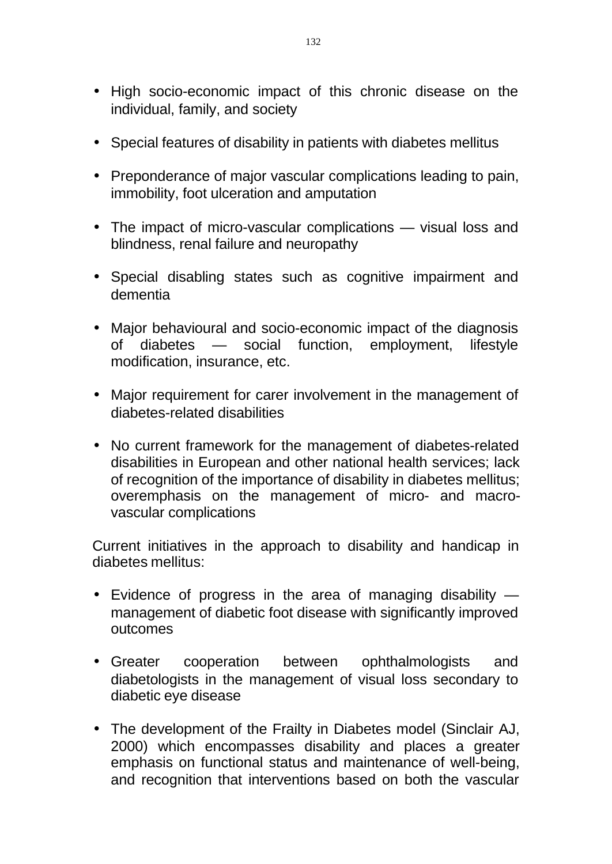- High socio-economic impact of this chronic disease on the individual, family, and society
- Special features of disability in patients with diabetes mellitus
- Preponderance of major vascular complications leading to pain, immobility, foot ulceration and amputation
- The impact of micro-vascular complications visual loss and blindness, renal failure and neuropathy
- Special disabling states such as cognitive impairment and dementia
- Major behavioural and socio-economic impact of the diagnosis of diabetes — social function, employment, lifestyle modification, insurance, etc.
- Major requirement for carer involvement in the management of diabetes-related disabilities
- No current framework for the management of diabetes-related disabilities in European and other national health services; lack of recognition of the importance of disability in diabetes mellitus; overemphasis on the management of micro- and macrovascular complications

Current initiatives in the approach to disability and handicap in diabetes mellitus:

- Evidence of progress in the area of managing disability management of diabetic foot disease with significantly improved outcomes
- Greater cooperation between ophthalmologists and diabetologists in the management of visual loss secondary to diabetic eye disease
- The development of the Frailty in Diabetes model (Sinclair AJ, 2000) which encompasses disability and places a greater emphasis on functional status and maintenance of well-being, and recognition that interventions based on both the vascular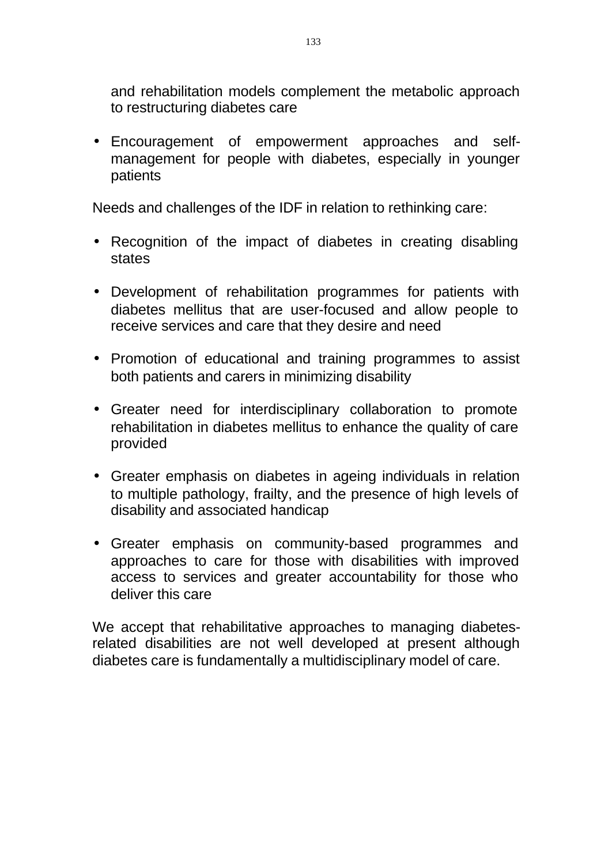and rehabilitation models complement the metabolic approach to restructuring diabetes care

• Encouragement of empowerment approaches and selfmanagement for people with diabetes, especially in younger patients

Needs and challenges of the IDF in relation to rethinking care:

- Recognition of the impact of diabetes in creating disabling states
- Development of rehabilitation programmes for patients with diabetes mellitus that are user-focused and allow people to receive services and care that they desire and need
- Promotion of educational and training programmes to assist both patients and carers in minimizing disability
- Greater need for interdisciplinary collaboration to promote rehabilitation in diabetes mellitus to enhance the quality of care provided
- Greater emphasis on diabetes in ageing individuals in relation to multiple pathology, frailty, and the presence of high levels of disability and associated handicap
- Greater emphasis on community-based programmes and approaches to care for those with disabilities with improved access to services and greater accountability for those who deliver this care

We accept that rehabilitative approaches to managing diabetesrelated disabilities are not well developed at present although diabetes care is fundamentally a multidisciplinary model of care.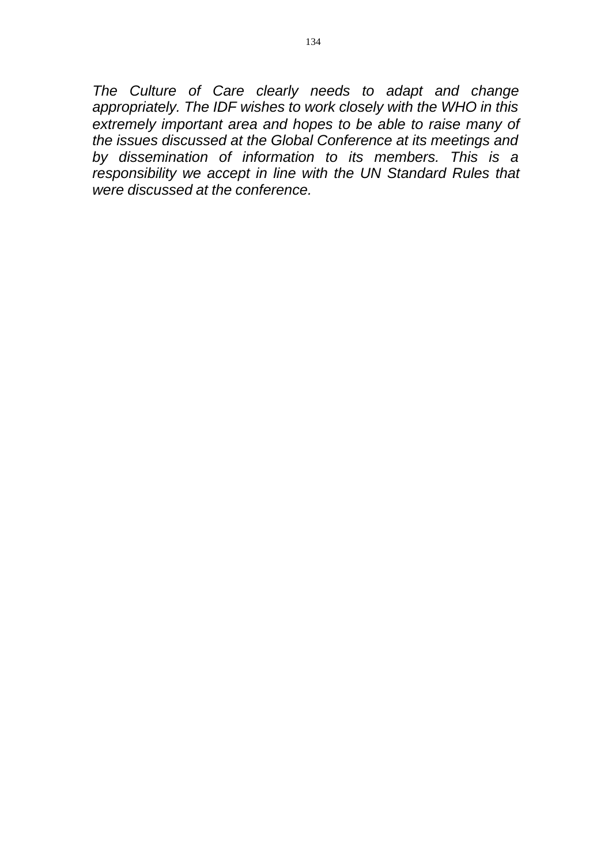*The Culture of Care clearly needs to adapt and change appropriately. The IDF wishes to work closely with the WHO in this extremely important area and hopes to be able to raise many of the issues discussed at the Global Conference at its meetings and by dissemination of information to its members. This is a responsibility we accept in line with the UN Standard Rules that were discussed at the conference.*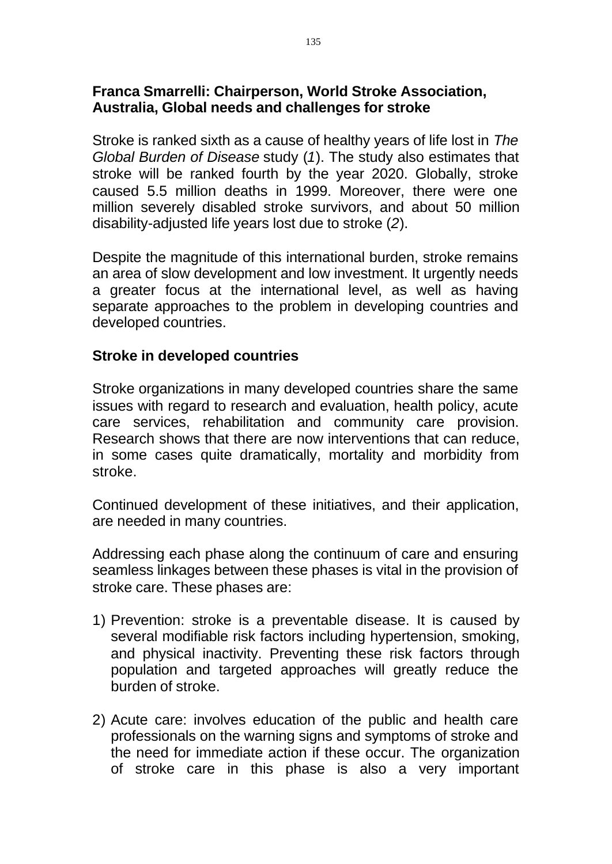## **Franca Smarrelli: Chairperson, World Stroke Association, Australia, Global needs and challenges for stroke**

Stroke is ranked sixth as a cause of healthy years of life lost in *The Global Burden of Disease* study (*1*). The study also estimates that stroke will be ranked fourth by the year 2020. Globally, stroke caused 5.5 million deaths in 1999. Moreover, there were one million severely disabled stroke survivors, and about 50 million disability-adjusted life years lost due to stroke (*2*).

Despite the magnitude of this international burden, stroke remains an area of slow development and low investment. It urgently needs a greater focus at the international level, as well as having separate approaches to the problem in developing countries and developed countries.

# **Stroke in developed countries**

Stroke organizations in many developed countries share the same issues with regard to research and evaluation, health policy, acute care services, rehabilitation and community care provision. Research shows that there are now interventions that can reduce, in some cases quite dramatically, mortality and morbidity from stroke.

Continued development of these initiatives, and their application, are needed in many countries.

Addressing each phase along the continuum of care and ensuring seamless linkages between these phases is vital in the provision of stroke care. These phases are:

- 1) Prevention: stroke is a preventable disease. It is caused by several modifiable risk factors including hypertension, smoking, and physical inactivity. Preventing these risk factors through population and targeted approaches will greatly reduce the burden of stroke.
- 2) Acute care: involves education of the public and health care professionals on the warning signs and symptoms of stroke and the need for immediate action if these occur. The organization of stroke care in this phase is also a very important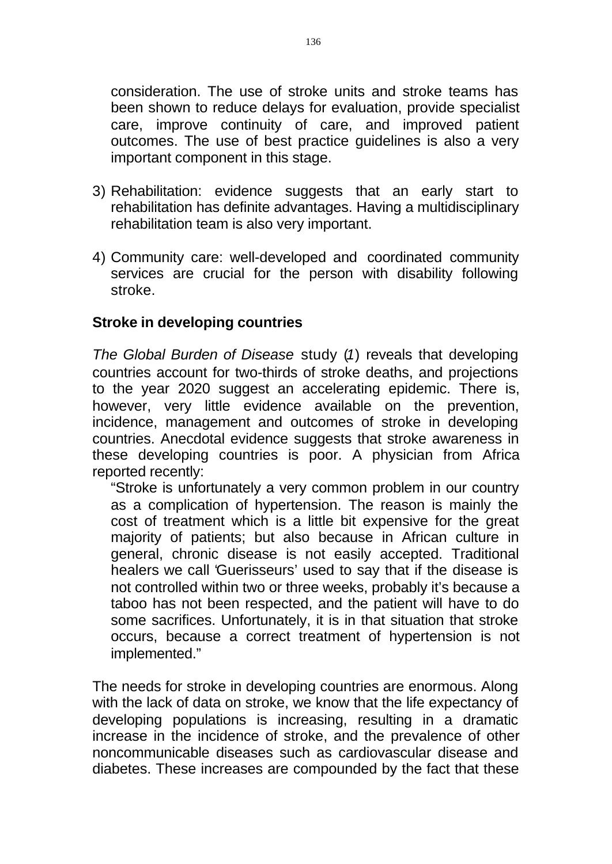consideration. The use of stroke units and stroke teams has been shown to reduce delays for evaluation, provide specialist care, improve continuity of care, and improved patient outcomes. The use of best practice guidelines is also a very important component in this stage.

- 3) Rehabilitation: evidence suggests that an early start to rehabilitation has definite advantages. Having a multidisciplinary rehabilitation team is also very important.
- 4) Community care: well-developed and coordinated community services are crucial for the person with disability following stroke.

## **Stroke in developing countries**

*The Global Burden of Disease* study (*1*) reveals that developing countries account for two-thirds of stroke deaths, and projections to the year 2020 suggest an accelerating epidemic. There is, however, very little evidence available on the prevention, incidence, management and outcomes of stroke in developing countries. Anecdotal evidence suggests that stroke awareness in these developing countries is poor. A physician from Africa reported recently:

"Stroke is unfortunately a very common problem in our country as a complication of hypertension. The reason is mainly the cost of treatment which is a little bit expensive for the great majority of patients; but also because in African culture in general, chronic disease is not easily accepted. Traditional healers we call 'Guerisseurs' used to say that if the disease is not controlled within two or three weeks, probably it's because a taboo has not been respected, and the patient will have to do some sacrifices. Unfortunately, it is in that situation that stroke occurs, because a correct treatment of hypertension is not implemented."

The needs for stroke in developing countries are enormous. Along with the lack of data on stroke, we know that the life expectancy of developing populations is increasing, resulting in a dramatic increase in the incidence of stroke, and the prevalence of other noncommunicable diseases such as cardiovascular disease and diabetes. These increases are compounded by the fact that these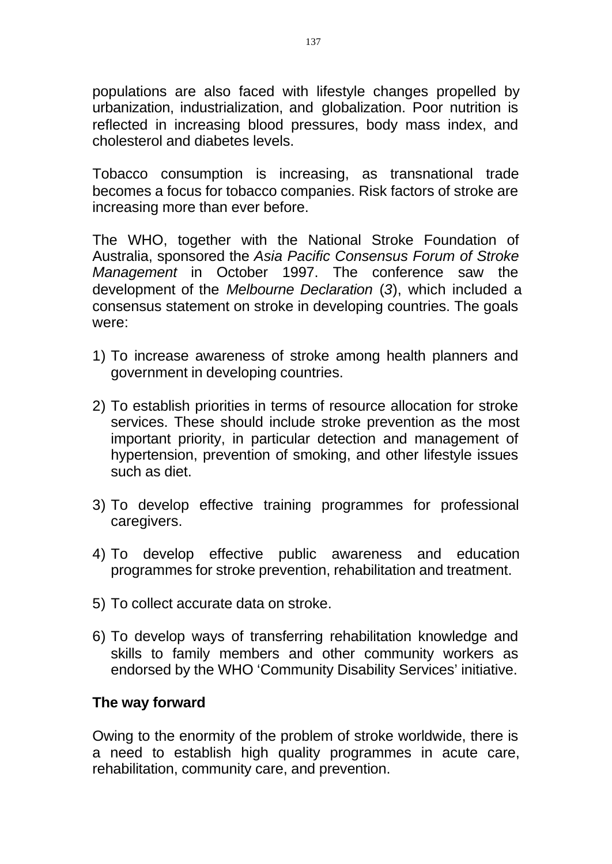populations are also faced with lifestyle changes propelled by urbanization, industrialization, and globalization. Poor nutrition is reflected in increasing blood pressures, body mass index, and cholesterol and diabetes levels.

Tobacco consumption is increasing, as transnational trade becomes a focus for tobacco companies. Risk factors of stroke are increasing more than ever before.

The WHO, together with the National Stroke Foundation of Australia, sponsored the *Asia Pacific Consensus Forum of Stroke Management* in October 1997. The conference saw the development of the *Melbourne Declaration* (*3*), which included a consensus statement on stroke in developing countries. The goals were:

- 1) To increase awareness of stroke among health planners and government in developing countries.
- 2) To establish priorities in terms of resource allocation for stroke services. These should include stroke prevention as the most important priority, in particular detection and management of hypertension, prevention of smoking, and other lifestyle issues such as diet.
- 3) To develop effective training programmes for professional caregivers.
- 4) To develop effective public awareness and education programmes for stroke prevention, rehabilitation and treatment.
- 5) To collect accurate data on stroke.
- 6) To develop ways of transferring rehabilitation knowledge and skills to family members and other community workers as endorsed by the WHO 'Community Disability Services' initiative.

#### **The way forward**

Owing to the enormity of the problem of stroke worldwide, there is a need to establish high quality programmes in acute care, rehabilitation, community care, and prevention.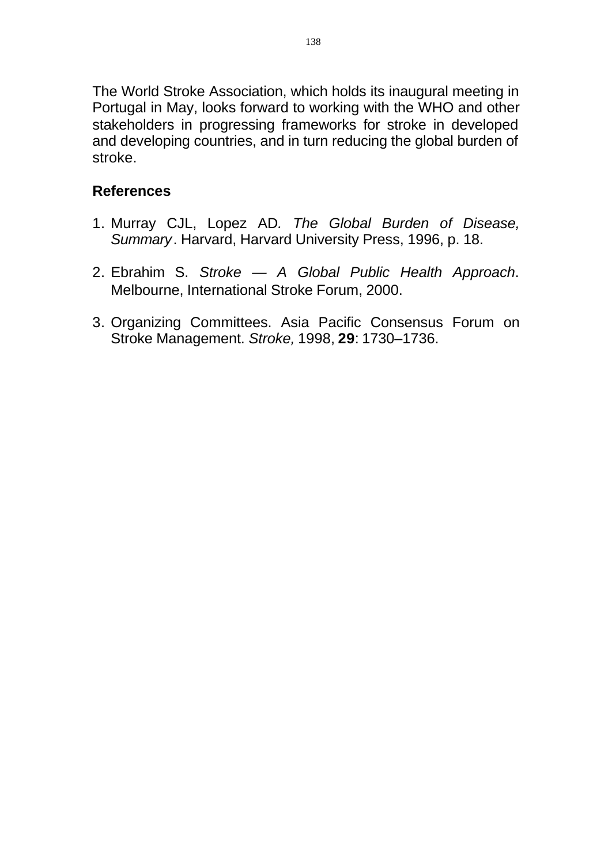The World Stroke Association, which holds its inaugural meeting in Portugal in May, looks forward to working with the WHO and other stakeholders in progressing frameworks for stroke in developed and developing countries, and in turn reducing the global burden of stroke.

# **References**

- 1. Murray CJL, Lopez AD*. The Global Burden of Disease, Summary*. Harvard, Harvard University Press, 1996, p. 18.
- 2. Ebrahim S. *Stroke A Global Public Health Approach*. Melbourne, International Stroke Forum, 2000.
- 3. Organizing Committees. Asia Pacific Consensus Forum on Stroke Management. *Stroke,* 1998, **29**: 1730–1736.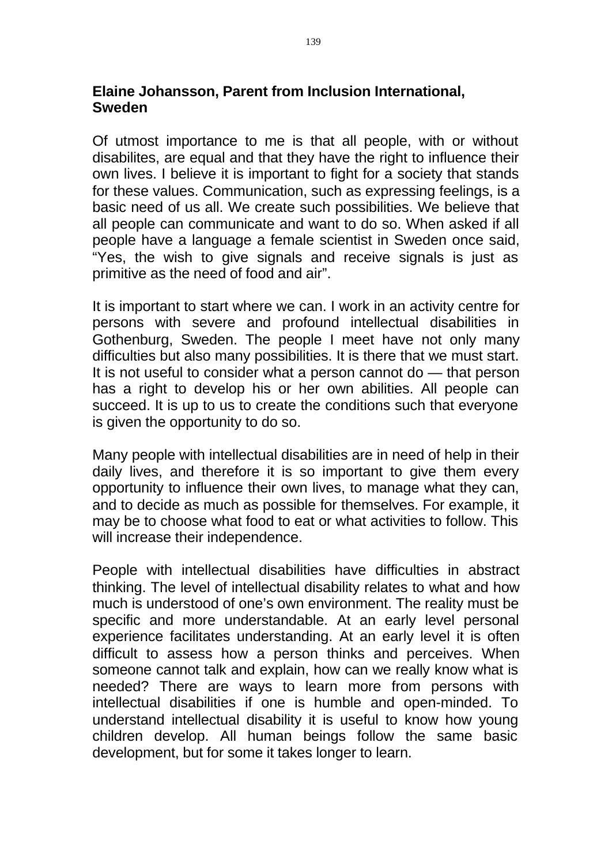# **Elaine Johansson, Parent from Inclusion International, Sweden**

Of utmost importance to me is that all people, with or without disabilites, are equal and that they have the right to influence their own lives. I believe it is important to fight for a society that stands for these values. Communication, such as expressing feelings, is a basic need of us all. We create such possibilities. We believe that all people can communicate and want to do so. When asked if all people have a language a female scientist in Sweden once said, "Yes, the wish to give signals and receive signals is just as primitive as the need of food and air".

It is important to start where we can. I work in an activity centre for persons with severe and profound intellectual disabilities in Gothenburg, Sweden. The people I meet have not only many difficulties but also many possibilities. It is there that we must start. It is not useful to consider what a person cannot do — that person has a right to develop his or her own abilities. All people can succeed. It is up to us to create the conditions such that everyone is given the opportunity to do so.

Many people with intellectual disabilities are in need of help in their daily lives, and therefore it is so important to give them every opportunity to influence their own lives, to manage what they can, and to decide as much as possible for themselves. For example, it may be to choose what food to eat or what activities to follow. This will increase their independence.

People with intellectual disabilities have difficulties in abstract thinking. The level of intellectual disability relates to what and how much is understood of one's own environment. The reality must be specific and more understandable. At an early level personal experience facilitates understanding. At an early level it is often difficult to assess how a person thinks and perceives. When someone cannot talk and explain, how can we really know what is needed? There are ways to learn more from persons with intellectual disabilities if one is humble and open-minded. To understand intellectual disability it is useful to know how young children develop. All human beings follow the same basic development, but for some it takes longer to learn.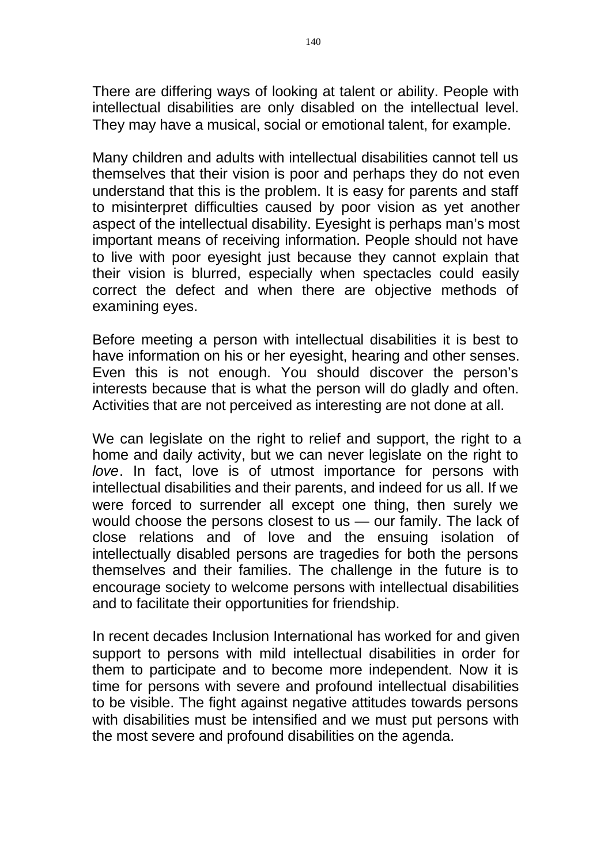There are differing ways of looking at talent or ability. People with intellectual disabilities are only disabled on the intellectual level. They may have a musical, social or emotional talent, for example.

Many children and adults with intellectual disabilities cannot tell us themselves that their vision is poor and perhaps they do not even understand that this is the problem. It is easy for parents and staff to misinterpret difficulties caused by poor vision as yet another aspect of the intellectual disability. Eyesight is perhaps man's most important means of receiving information. People should not have to live with poor eyesight just because they cannot explain that their vision is blurred, especially when spectacles could easily correct the defect and when there are objective methods of examining eyes.

Before meeting a person with intellectual disabilities it is best to have information on his or her eyesight, hearing and other senses. Even this is not enough. You should discover the person's interests because that is what the person will do gladly and often. Activities that are not perceived as interesting are not done at all.

We can legislate on the right to relief and support, the right to a home and daily activity, but we can never legislate on the right to *love*. In fact, love is of utmost importance for persons with intellectual disabilities and their parents, and indeed for us all. If we were forced to surrender all except one thing, then surely we would choose the persons closest to us — our family. The lack of close relations and of love and the ensuing isolation of intellectually disabled persons are tragedies for both the persons themselves and their families. The challenge in the future is to encourage society to welcome persons with intellectual disabilities and to facilitate their opportunities for friendship.

In recent decades Inclusion International has worked for and given support to persons with mild intellectual disabilities in order for them to participate and to become more independent. Now it is time for persons with severe and profound intellectual disabilities to be visible. The fight against negative attitudes towards persons with disabilities must be intensified and we must put persons with the most severe and profound disabilities on the agenda.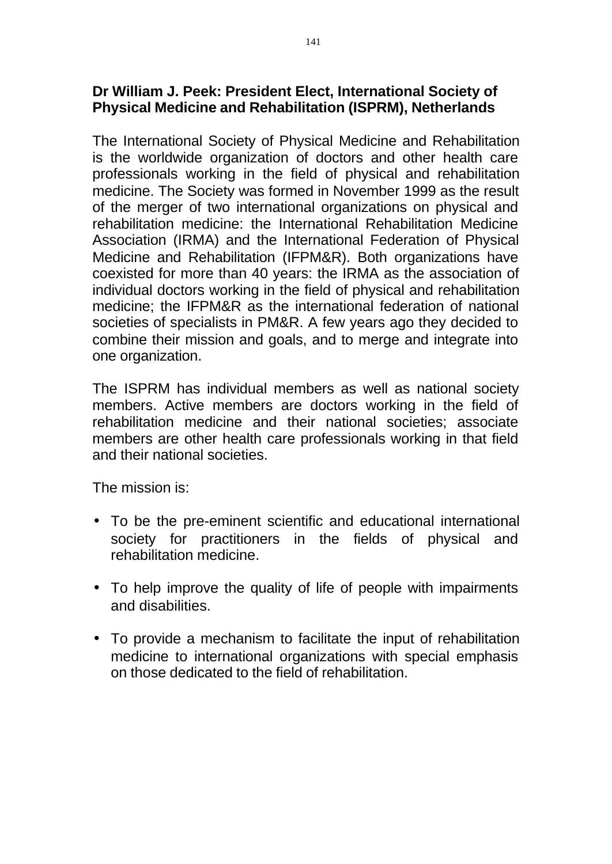# **Dr William J. Peek: President Elect, International Society of Physical Medicine and Rehabilitation (ISPRM), Netherlands**

The International Society of Physical Medicine and Rehabilitation is the worldwide organization of doctors and other health care professionals working in the field of physical and rehabilitation medicine. The Society was formed in November 1999 as the result of the merger of two international organizations on physical and rehabilitation medicine: the International Rehabilitation Medicine Association (IRMA) and the International Federation of Physical Medicine and Rehabilitation (IFPM&R). Both organizations have coexisted for more than 40 years: the IRMA as the association of individual doctors working in the field of physical and rehabilitation medicine; the IFPM&R as the international federation of national societies of specialists in PM&R. A few years ago they decided to combine their mission and goals, and to merge and integrate into one organization.

The ISPRM has individual members as well as national society members. Active members are doctors working in the field of rehabilitation medicine and their national societies; associate members are other health care professionals working in that field and their national societies.

The mission is:

- To be the pre-eminent scientific and educational international society for practitioners in the fields of physical and rehabilitation medicine.
- To help improve the quality of life of people with impairments and disabilities.
- To provide a mechanism to facilitate the input of rehabilitation medicine to international organizations with special emphasis on those dedicated to the field of rehabilitation.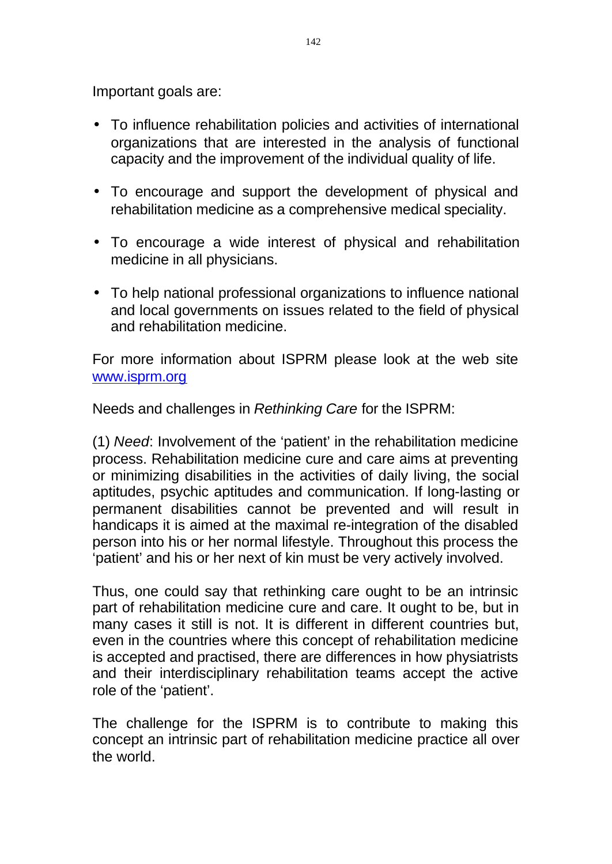Important goals are:

- To influence rehabilitation policies and activities of international organizations that are interested in the analysis of functional capacity and the improvement of the individual quality of life.
- To encourage and support the development of physical and rehabilitation medicine as a comprehensive medical speciality.
- To encourage a wide interest of physical and rehabilitation medicine in all physicians.
- To help national professional organizations to influence national and local governments on issues related to the field of physical and rehabilitation medicine.

For more information about ISPRM please look at the web site www.isprm.org

Needs and challenges in *Rethinking Care* for the ISPRM:

(1) *Need*: Involvement of the 'patient' in the rehabilitation medicine process. Rehabilitation medicine cure and care aims at preventing or minimizing disabilities in the activities of daily living, the social aptitudes, psychic aptitudes and communication. If long-lasting or permanent disabilities cannot be prevented and will result in handicaps it is aimed at the maximal re-integration of the disabled person into his or her normal lifestyle. Throughout this process the 'patient' and his or her next of kin must be very actively involved.

Thus, one could say that rethinking care ought to be an intrinsic part of rehabilitation medicine cure and care. It ought to be, but in many cases it still is not. It is different in different countries but. even in the countries where this concept of rehabilitation medicine is accepted and practised, there are differences in how physiatrists and their interdisciplinary rehabilitation teams accept the active role of the 'patient'.

The challenge for the ISPRM is to contribute to making this concept an intrinsic part of rehabilitation medicine practice all over the world.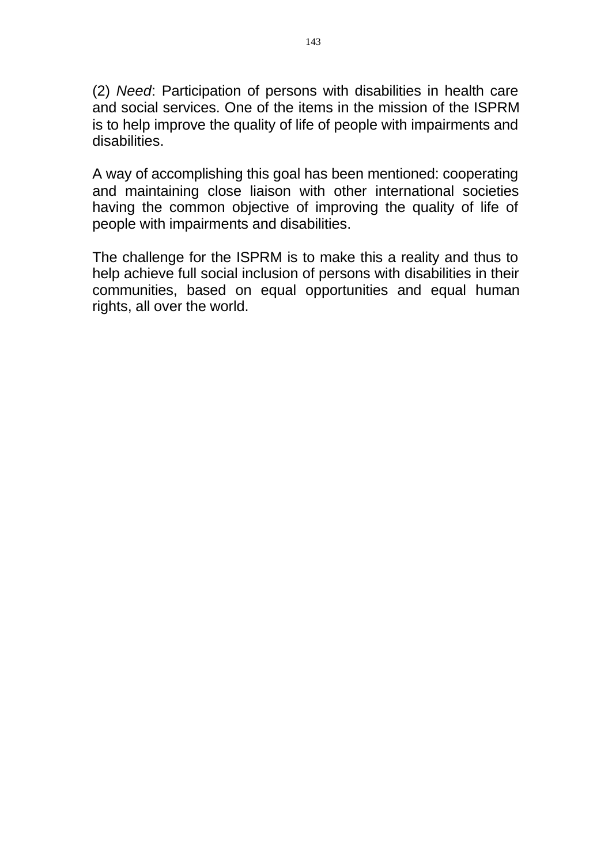(2) *Need*: Participation of persons with disabilities in health care and social services. One of the items in the mission of the ISPRM is to help improve the quality of life of people with impairments and disabilities.

A way of accomplishing this goal has been mentioned: cooperating and maintaining close liaison with other international societies having the common objective of improving the quality of life of people with impairments and disabilities.

The challenge for the ISPRM is to make this a reality and thus to help achieve full social inclusion of persons with disabilities in their communities, based on equal opportunities and equal human rights, all over the world.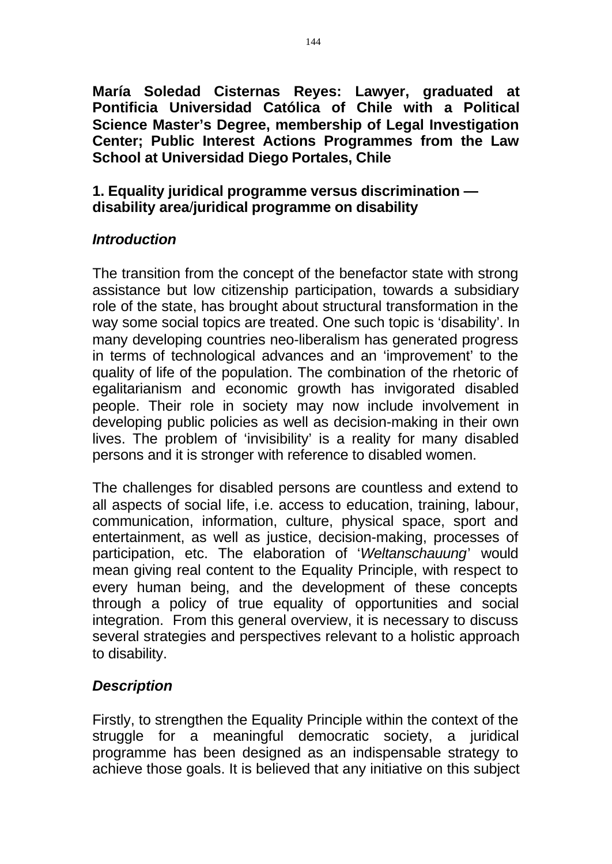**María Soledad Cisternas Reyes: Lawyer, graduated at Pontificia Universidad Católica of Chile with a Political Science Master's Degree, membership of Legal Investigation Center; Public Interest Actions Programmes from the Law School at Universidad Diego Portales, Chile** 

# **1. Equality juridical programme versus discrimination disability area**/**juridical programme on disability**

# *Introduction*

The transition from the concept of the benefactor state with strong assistance but low citizenship participation, towards a subsidiary role of the state, has brought about structural transformation in the way some social topics are treated. One such topic is 'disability'. In many developing countries neo-liberalism has generated progress in terms of technological advances and an 'improvement' to the quality of life of the population. The combination of the rhetoric of egalitarianism and economic growth has invigorated disabled people. Their role in society may now include involvement in developing public policies as well as decision-making in their own lives. The problem of 'invisibility' is a reality for many disabled persons and it is stronger with reference to disabled women.

The challenges for disabled persons are countless and extend to all aspects of social life, i.e. access to education, training, labour, communication, information, culture, physical space, sport and entertainment, as well as justice, decision-making, processes of participation, etc. The elaboration of '*Weltanschauung*' would mean giving real content to the Equality Principle, with respect to every human being, and the development of these concepts through a policy of true equality of opportunities and social integration. From this general overview, it is necessary to discuss several strategies and perspectives relevant to a holistic approach to disability.

# *Description*

Firstly, to strengthen the Equality Principle within the context of the struggle for a meaningful democratic society, a juridical programme has been designed as an indispensable strategy to achieve those goals. It is believed that any initiative on this subject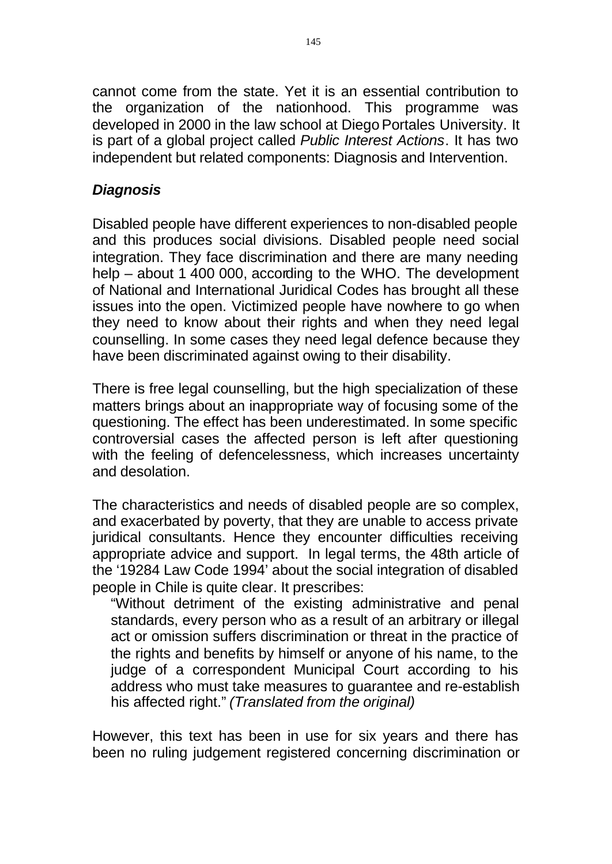cannot come from the state. Yet it is an essential contribution to the organization of the nationhood. This programme was developed in 2000 in the law school at Diego Portales University. It is part of a global project called *Public Interest Actions*. It has two independent but related components: Diagnosis and Intervention.

# *Diagnosis*

Disabled people have different experiences to non-disabled people and this produces social divisions. Disabled people need social integration. They face discrimination and there are many needing help – about 1 400 000, according to the WHO. The development of National and International Juridical Codes has brought all these issues into the open. Victimized people have nowhere to go when they need to know about their rights and when they need legal counselling. In some cases they need legal defence because they have been discriminated against owing to their disability.

There is free legal counselling, but the high specialization of these matters brings about an inappropriate way of focusing some of the questioning. The effect has been underestimated. In some specific controversial cases the affected person is left after questioning with the feeling of defencelessness, which increases uncertainty and desolation.

The characteristics and needs of disabled people are so complex, and exacerbated by poverty, that they are unable to access private juridical consultants. Hence they encounter difficulties receiving appropriate advice and support. In legal terms, the 48th article of the '19284 Law Code 1994' about the social integration of disabled people in Chile is quite clear. It prescribes:

"Without detriment of the existing administrative and penal standards, every person who as a result of an arbitrary or illegal act or omission suffers discrimination or threat in the practice of the rights and benefits by himself or anyone of his name, to the judge of a correspondent Municipal Court according to his address who must take measures to guarantee and re-establish his affected right." *(Translated from the original)* 

However, this text has been in use for six years and there has been no ruling judgement registered concerning discrimination or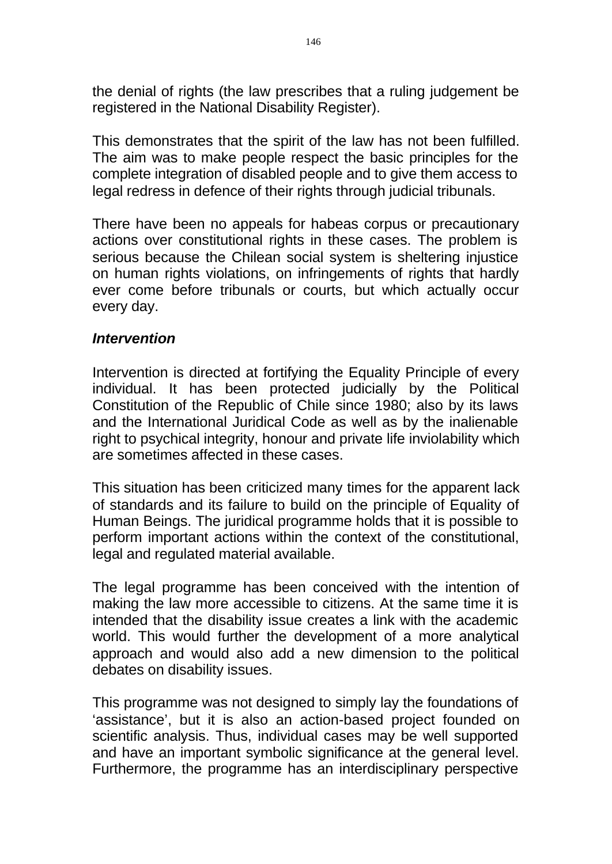the denial of rights (the law prescribes that a ruling judgement be registered in the National Disability Register).

This demonstrates that the spirit of the law has not been fulfilled. The aim was to make people respect the basic principles for the complete integration of disabled people and to give them access to legal redress in defence of their rights through judicial tribunals.

There have been no appeals for habeas corpus or precautionary actions over constitutional rights in these cases. The problem is serious because the Chilean social system is sheltering injustice on human rights violations, on infringements of rights that hardly ever come before tribunals or courts, but which actually occur every day.

#### *Intervention*

Intervention is directed at fortifying the Equality Principle of every individual. It has been protected judicially by the Political Constitution of the Republic of Chile since 1980; also by its laws and the International Juridical Code as well as by the inalienable right to psychical integrity, honour and private life inviolability which are sometimes affected in these cases.

This situation has been criticized many times for the apparent lack of standards and its failure to build on the principle of Equality of Human Beings. The juridical programme holds that it is possible to perform important actions within the context of the constitutional, legal and regulated material available.

The legal programme has been conceived with the intention of making the law more accessible to citizens. At the same time it is intended that the disability issue creates a link with the academic world. This would further the development of a more analytical approach and would also add a new dimension to the political debates on disability issues.

This programme was not designed to simply lay the foundations of 'assistance', but it is also an action-based project founded on scientific analysis. Thus, individual cases may be well supported and have an important symbolic significance at the general level. Furthermore, the programme has an interdisciplinary perspective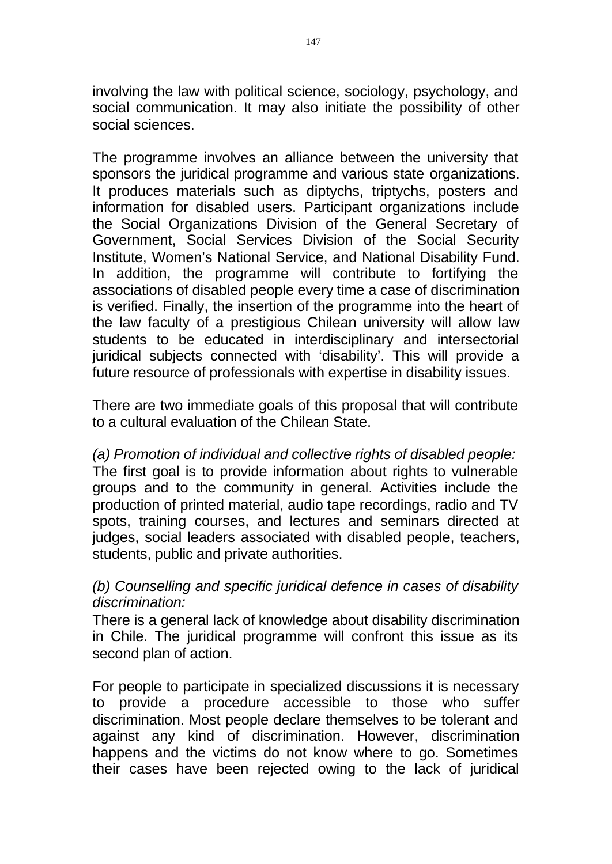involving the law with political science, sociology, psychology, and social communication. It may also initiate the possibility of other social sciences.

The programme involves an alliance between the university that sponsors the juridical programme and various state organizations. It produces materials such as diptychs, triptychs, posters and information for disabled users. Participant organizations include the Social Organizations Division of the General Secretary of Government, Social Services Division of the Social Security Institute, Women's National Service, and National Disability Fund. In addition, the programme will contribute to fortifying the associations of disabled people every time a case of discrimination is verified. Finally, the insertion of the programme into the heart of the law faculty of a prestigious Chilean university will allow law students to be educated in interdisciplinary and intersectorial juridical subjects connected with 'disability'. This will provide a future resource of professionals with expertise in disability issues.

There are two immediate goals of this proposal that will contribute to a cultural evaluation of the Chilean State.

*(a) Promotion of individual and collective rights of disabled people:*  The first goal is to provide information about rights to vulnerable groups and to the community in general. Activities include the production of printed material, audio tape recordings, radio and TV spots, training courses, and lectures and seminars directed at judges, social leaders associated with disabled people, teachers, students, public and private authorities.

## *(b) Counselling and specific juridical defence in cases of disability discrimination:*

There is a general lack of knowledge about disability discrimination in Chile. The juridical programme will confront this issue as its second plan of action.

For people to participate in specialized discussions it is necessary to provide a procedure accessible to those who suffer discrimination. Most people declare themselves to be tolerant and against any kind of discrimination. However, discrimination happens and the victims do not know where to go. Sometimes their cases have been rejected owing to the lack of juridical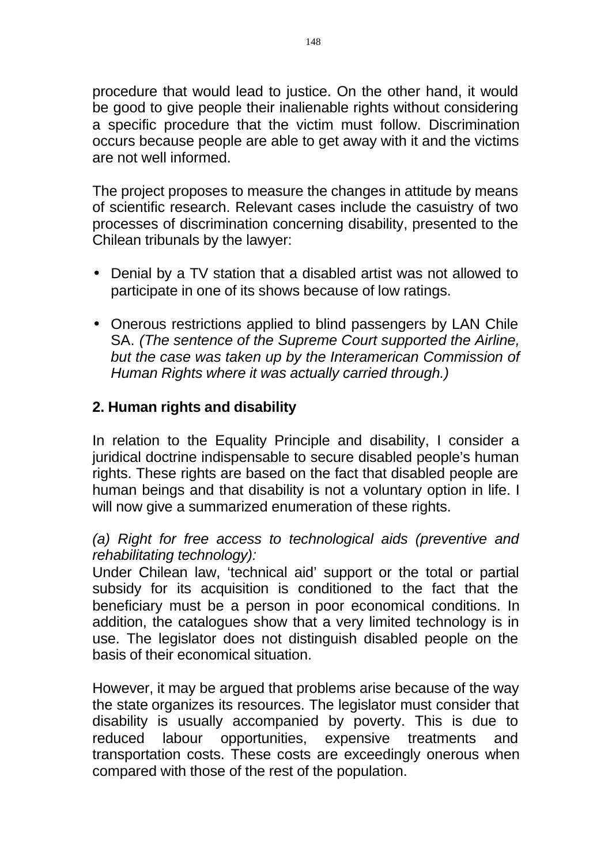procedure that would lead to justice. On the other hand, it would be good to give people their inalienable rights without considering a specific procedure that the victim must follow. Discrimination occurs because people are able to get away with it and the victims are not well informed.

The project proposes to measure the changes in attitude by means of scientific research. Relevant cases include the casuistry of two processes of discrimination concerning disability, presented to the Chilean tribunals by the lawyer:

- Denial by a TV station that a disabled artist was not allowed to participate in one of its shows because of low ratings.
- Onerous restrictions applied to blind passengers by LAN Chile SA. *(The sentence of the Supreme Court supported the Airline, but the case was taken up by the Interamerican Commission of Human Rights where it was actually carried through.)*

# **2. Human rights and disability**

In relation to the Equality Principle and disability, I consider a juridical doctrine indispensable to secure disabled people's human rights. These rights are based on the fact that disabled people are human beings and that disability is not a voluntary option in life. I will now give a summarized enumeration of these rights.

*(a) Right for free access to technological aids (preventive and rehabilitating technology):* 

Under Chilean law, 'technical aid' support or the total or partial subsidy for its acquisition is conditioned to the fact that the beneficiary must be a person in poor economical conditions. In addition, the catalogues show that a very limited technology is in use. The legislator does not distinguish disabled people on the basis of their economical situation.

However, it may be argued that problems arise because of the way the state organizes its resources. The legislator must consider that disability is usually accompanied by poverty. This is due to reduced labour opportunities, expensive treatments and transportation costs. These costs are exceedingly onerous when compared with those of the rest of the population.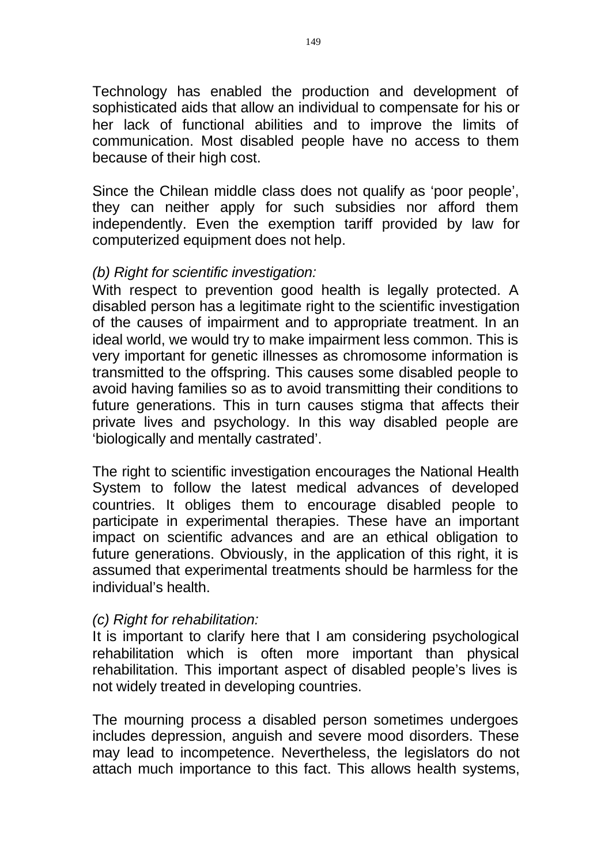Technology has enabled the production and development of sophisticated aids that allow an individual to compensate for his or her lack of functional abilities and to improve the limits of communication. Most disabled people have no access to them because of their high cost.

Since the Chilean middle class does not qualify as 'poor people', they can neither apply for such subsidies nor afford them independently. Even the exemption tariff provided by law for computerized equipment does not help.

## *(b) Right for scientific investigation:*

With respect to prevention good health is legally protected. A disabled person has a legitimate right to the scientific investigation of the causes of impairment and to appropriate treatment. In an ideal world, we would try to make impairment less common. This is very important for genetic illnesses as chromosome information is transmitted to the offspring. This causes some disabled people to avoid having families so as to avoid transmitting their conditions to future generations. This in turn causes stigma that affects their private lives and psychology. In this way disabled people are 'biologically and mentally castrated'.

The right to scientific investigation encourages the National Health System to follow the latest medical advances of developed countries. It obliges them to encourage disabled people to participate in experimental therapies. These have an important impact on scientific advances and are an ethical obligation to future generations. Obviously, in the application of this right, it is assumed that experimental treatments should be harmless for the individual's health.

# *(c) Right for rehabilitation:*

It is important to clarify here that I am considering psychological rehabilitation which is often more important than physical rehabilitation. This important aspect of disabled people's lives is not widely treated in developing countries.

The mourning process a disabled person sometimes undergoes includes depression, anguish and severe mood disorders. These may lead to incompetence. Nevertheless, the legislators do not attach much importance to this fact. This allows health systems,